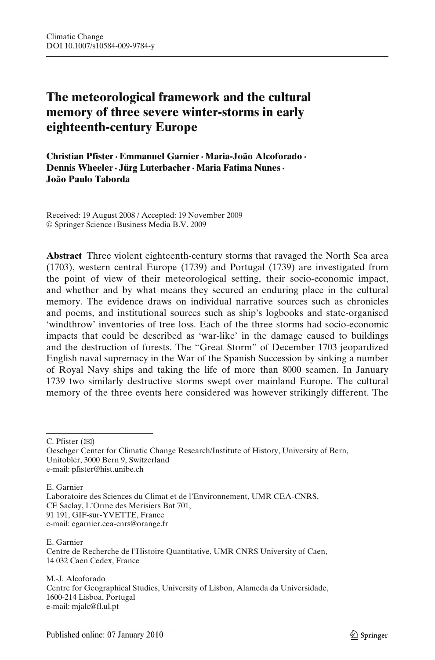# **The meteorological framework and the cultural memory of three severe winter-storms in early eighteenth-century Europe**

**Christian Pfister· Emmanuel Garnier· Maria-João Alcoforado · Dennis Wheeler· Jürg Luterbacher· Maria Fatima Nunes· João Paulo Taborda**

Received: 19 August 2008 / Accepted: 19 November 2009 © Springer Science+Business Media B.V. 2009

**Abstract** Three violent eighteenth-century storms that ravaged the North Sea area (1703), western central Europe (1739) and Portugal (1739) are investigated from the point of view of their meteorological setting, their socio-economic impact, and whether and by what means they secured an enduring place in the cultural memory. The evidence draws on individual narrative sources such as chronicles and poems, and institutional sources such as ship's logbooks and state-organised 'windthrow' inventories of tree loss. Each of the three storms had socio-economic impacts that could be described as 'war-like' in the damage caused to buildings and the destruction of forests. The "Great Storm" of December 1703 jeopardized English naval supremacy in the War of the Spanish Succession by sinking a number of Royal Navy ships and taking the life of more than 8000 seamen. In January 1739 two similarly destructive storms swept over mainland Europe. The cultural memory of the three events here considered was however strikingly different. The

C. Pfister  $(\boxtimes)$ 

E. Garnier

Laboratoire des Sciences du Climat et de l'Environnement, UMR CEA-CNRS, CE Saclay, L'Orme des Merisiers Bat 701, 91 191, GIF-sur-YVETTE, France e-mail: egarnier.cea-cnrs@orange.fr

E. Garnier Centre de Recherche de l'Histoire Quantitative, UMR CNRS University of Caen, 14 032 Caen Cedex, France

M.-J. Alcoforado Centre for Geographical Studies, University of Lisbon, Alameda da Universidade, 1600-214 Lisboa, Portugal e-mail: mjalc@fl.ul.pt

Oeschger Center for Climatic Change Research/Institute of History, University of Bern, Unitobler, 3000 Bern 9, Switzerland e-mail: pfister@hist.unibe.ch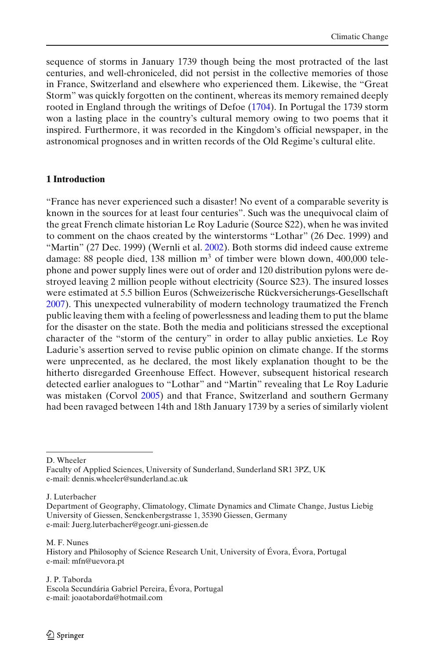sequence of storms in January 1739 though being the most protracted of the last centuries, and well-chroniceled, did not persist in the collective memories of those in France, Switzerland and elsewhere who experienced them. Likewise, the "Great Storm" was quickly forgotten on the continent, whereas its memory remained deeply rooted in England through the writings of Defo[e](#page-26-0) [\(1704](#page-26-0)). In Portugal the 1739 storm won a lasting place in the country's cultural memory owing to two poems that it inspired. Furthermore, it was recorded in the Kingdom's official newspaper, in the astronomical prognoses and in written records of the Old Regime's cultural elite.

# **1 Introduction**

"France has never experienced such a disaster! No event of a comparable severity is known in the sources for at least four centuries". Such was the unequivocal claim of the great French climate historian Le Roy Ladurie (Source S22), when he was invited to comment on the chaos created by the winterstorms "Lothar" (26 Dec. 1999) and "Martin" (27 Dec[.](#page-28-0) 1999) (Wernli et al. [2002](#page-28-0)). Both storms did indeed cause extreme damage: 88 people died, 138 million  $m<sup>3</sup>$  of timber were blown down, 400,000 telephone and power supply lines were out of order and 120 distribution pylons were destroyed leaving 2 million people without electricity (Source S23). The insured losses were estimated at 5.5 billion Euros (Schweizerische Rückversicherungs-Gesellschaf[t](#page-28-0) [2007\)](#page-28-0). This unexpected vulnerability of modern technology traumatized the French public leaving them with a feeling of powerlessness and leading them to put the blame for the disaster on the state. Both the media and politicians stressed the exceptional character of the "storm of the century" in order to allay public anxieties. Le Roy Ladurie's assertion served to revise public opinion on climate change. If the storms were unprecented, as he declared, the most likely explanation thought to be the hitherto disregarded Greenhouse Effect. However, subsequent historical research detected earlier analogues to "Lothar" and "Martin" revealing that Le Roy Ladurie was mistaken (Corvo[l](#page-26-0) [2005\)](#page-26-0) and that France, Switzerland and southern Germany had been ravaged between 14th and 18th January 1739 by a series of similarly violent

D. Wheeler

J. Luterbacher

M. F. Nunes

J. P. Taborda Escola Secundária Gabriel Pereira, Évora, Portugal e-mail: joaotaborda@hotmail.com

Faculty of Applied Sciences, University of Sunderland, Sunderland SR1 3PZ, UK e-mail: dennis.wheeler@sunderland.ac.uk

Department of Geography, Climatology, Climate Dynamics and Climate Change, Justus Liebig University of Giessen, Senckenbergstrasse 1, 35390 Giessen, Germany e-mail: Juerg.luterbacher@geogr.uni-giessen.de

History and Philosophy of Science Research Unit, University of Évora, Évora, Portugal e-mail: mfn@uevora.pt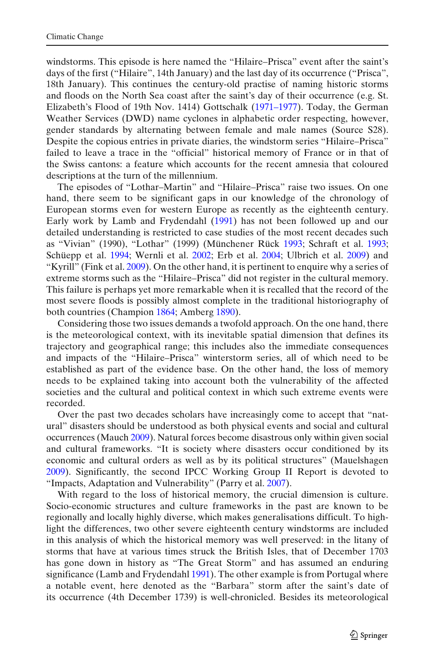windstorms. This episode is here named the "Hilaire–Prisca" event after the saint's days of the first ("Hilaire", 14th January) and the last day of its occurrence ("Prisca", 18th January). This continues the century-old practise of naming historic storms and floods on the North Sea coast after the saint's day of their occurrence (e.g. St. Elizabeth's Flood of 19th Nov. 1414) Gottschal[k](#page-27-0) [\(1971–1977\)](#page-27-0). Today, the German Weather Services (DWD) name cyclones in alphabetic order respecting, however, gender standards by alternating between female and male names (Source S28). Despite the copious entries in private diaries, the windstorm series "Hilaire–Prisca" failed to leave a trace in the "official" historical memory of France or in that of the Swiss cantons: a feature which accounts for the recent amnesia that coloured descriptions at the turn of the millennium.

The episodes of "Lothar–Martin" and "Hilaire–Prisca" raise two issues. On one hand, there seem to be significant gaps in our knowledge of the chronology of European storms even for western Europe as recently as the eighteenth century. Early work by Lamb and Frydendah[l](#page-27-0) [\(1991\)](#page-27-0) has not been followed up and our detailed understanding is restricted to case studies of the most recent decades such as "Vivian" (1990), "Lothar" (1999) (Münchener Rüc[k](#page-27-0) [1993;](#page-27-0) Schraft et al[.](#page-28-0) [1993](#page-28-0); Schüepp et al[.](#page-28-0) [1994](#page-28-0); Wernli et al. [2002](#page-28-0); Erb et al. [2004;](#page-26-0) Ulbrich et al. [2009\)](#page-28-0) and "Kyrill" (Fink et al[.](#page-26-0) [2009\)](#page-26-0). On the other hand, it is pertinent to enquire why a series of extreme storms such as the "Hilaire–Prisca" did not register in the cultural memory. This failure is perhaps yet more remarkable when it is recalled that the record of the most severe floods is possibly almost complete in the traditional historiography of both countries (Champio[n](#page-26-0) [1864;](#page-26-0) Amber[g](#page-25-0) [1890](#page-25-0)).

Considering those two issues demands a twofold approach. On the one hand, there is the meteorological context, with its inevitable spatial dimension that defines its trajectory and geographical range; this includes also the immediate consequences and impacts of the "Hilaire–Prisca" winterstorm series, all of which need to be established as part of the evidence base. On the other hand, the loss of memory needs to be explained taking into account both the vulnerability of the affected societies and the cultural and political context in which such extreme events were recorded.

Over the past two decades scholars have increasingly come to accept that "natural" disasters should be understood as both physical events and social and cultural occurrences (Mauc[h](#page-27-0) [2009](#page-27-0)). Natural forces become disastrous only within given social and cultural frameworks. "It is society where disasters occur conditioned by its economic and cultural orders as well as by its political structures" (Mauelshage[n](#page-27-0) [2009\)](#page-27-0). Significantly, the second IPCC Working Group II Report is devoted to "Impacts, Adaptation and Vulnerability" (Parry et al[.](#page-28-0) [2007\)](#page-28-0).

With regard to the loss of historical memory, the crucial dimension is culture. Socio-economic structures and culture frameworks in the past are known to be regionally and locally highly diverse, which makes generalisations difficult. To highlight the differences, two other severe eighteenth century windstorms are included in this analysis of which the historical memory was well preserved: in the litany of storms that have at various times struck the British Isles, that of December 1703 has gone down in history as "The Great Storm" and has assumed an enduring significance (Lamb and Frydendah[l](#page-27-0) [1991](#page-27-0)). The other example is from Portugal where a notable event, here denoted as the "Barbara" storm after the saint's date of its occurrence (4th December 1739) is well-chronicled. Besides its meteorological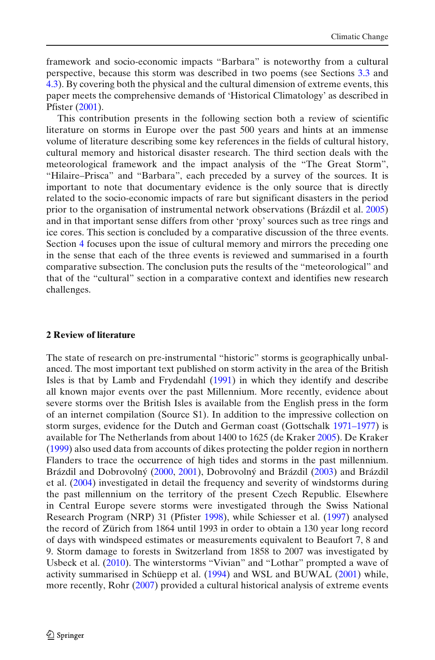<span id="page-3-0"></span>framework and socio-economic impacts "Barbara" is noteworthy from a cultural perspective, because this storm was described in two poems (see Sections [3.3](#page-11-0) and [4.3\)](#page-21-0). By covering both the physical and the cultural dimension of extreme events, this paper meets the comprehensive demands of 'Historical Climatology' as described in Pfiste[r](#page-28-0) [\(2001\)](#page-28-0).

This contribution presents in the following section both a review of scientific literature on storms in Europe over the past 500 years and hints at an immense volume of literature describing some key references in the fields of cultural history, cultural memory and historical disaster research. The third section deals with the meteorological framework and the impact analysis of the "The Great Storm", "Hilaire–Prisca" and "Barbara", each preceded by a survey of the sources. It is important to note that documentary evidence is the only source that is directly related to the socio-economic impacts of rare but significant disasters in the period prior to the organisation of instrumental network observations (Brázdil et al[.](#page-26-0) [2005\)](#page-26-0) and in that important sense differs from other 'proxy' sources such as tree rings and ice cores. This section is concluded by a comparative discussion of the three events. Section [4](#page-18-0) focuses upon the issue of cultural memory and mirrors the preceding one in the sense that each of the three events is reviewed and summarised in a fourth comparative subsection. The conclusion puts the results of the "meteorological" and that of the "cultural" section in a comparative context and identifies new research challenges.

## **2 Review of literature**

The state of research on pre-instrumental "historic" storms is geographically unbalanced. The most important text published on storm activity in the area of the British Isles is that by Lamb and Frydendah[l](#page-27-0) [\(1991\)](#page-27-0) in which they identify and describe all known major events over the past Millennium. More recently, evidence about severe storms over the British Isles is available from the English press in the form of an internet compilation (Source S1). In addition to the impressive collection on storm surges, evidence for the Dutch and German coast (Gottschal[k](#page-27-0) [1971–1977\)](#page-27-0) is available for The Netherlands from about 1400 to 1625 (de Krake[r](#page-26-0) [2005\)](#page-26-0). De Kraker [\(1999](#page-26-0)) also used data from accounts of dikes protecting the polder region in northern Flanders to trace the occurrence of high tides and storms in the past millennium. Brázdil and Dobrovolný [\(2000,](#page-26-0) [2001\)](#page-26-0), Dobrovolný and Brázdil [\(2003\)](#page-26-0) and Brázdil et al. [\(2004](#page-26-0)) investigated in detail the frequency and severity of windstorms during the past millennium on the territory of the present Czech Republic. Elsewhere in Central Europe severe storms were investigated through the Swiss National Research Program (NRP) 31 (Pfiste[r](#page-28-0) [1998\)](#page-28-0), while Schiesser et al[.](#page-28-0) [\(1997\)](#page-28-0) analysed the record of Zürich from 1864 until 1993 in order to obtain a 130 year long record of days with windspeed estimates or measurements equivalent to Beaufort 7, 8 and 9. Storm damage to forests in Switzerland from 1858 to 2007 was investigated by Usbeck et al[.](#page-28-0) [\(2010\)](#page-28-0). The winterstorms "Vivian" and "Lothar" prompted a wave of activity summarised in Schüepp et al[.](#page-28-0) [\(1994\)](#page-28-0) and WS[L](#page-29-0) and BUWAL [\(2001](#page-29-0)) while, mo[r](#page-28-0)e recently, Rohr [\(2007](#page-28-0)) provided a cultural historical analysis of extreme events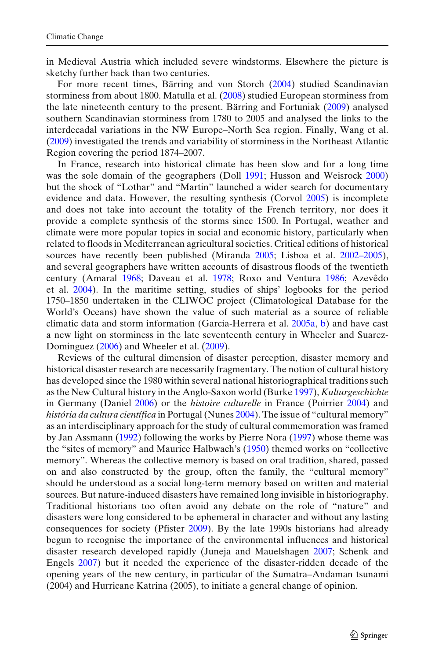in Medieval Austria which included severe windstorms. Elsewhere the picture is sketchy further back than two centuries.

For more recent times, Bärring and von Storc[h](#page-25-0) [\(2004](#page-25-0)) studied Scandinavian storminess from about 1800[.](#page-27-0) Matulla et al. [\(2008\)](#page-27-0) studied European storminess from the late nineteenth century to the present. Bärring and Fortunia[k](#page-25-0) [\(2009\)](#page-25-0) analysed southern Scandinavian storminess from 1780 to 2005 and analysed the links to the interdecadal variations in the NW Europe–North Sea region. Finally, Wang et al[.](#page-28-0) [\(2009](#page-28-0)) investigated the trends and variability of storminess in the Northeast Atlantic Region covering the period 1874–2007.

In France, research into historical climate has been slow and for a long time was the sole domain of the geographers (Dol[l](#page-26-0) [1991;](#page-26-0) Husson and Weisroc[k](#page-27-0) [2000\)](#page-27-0) but the shock of "Lothar" and "Martin" launched a wider search for documentary evidence and data. However, the resulting synthesis (Corvo[l](#page-26-0) [2005\)](#page-26-0) is incomplete and does not take into account the totality of the French territory, nor does it provide a complete synthesis of the storms since 1500. In Portugal, weather and climate were more popular topics in social and economic history, particularly when related to floods in Mediterranean agricultural societies. Critical editions of historical sources have recently been published (Miranda [2005;](#page-27-0) Lisboa et al. [2002–2005\)](#page-27-0), and several geographers have written accounts of disastrous floods of the twentieth century (Amara[l](#page-25-0) [1968](#page-25-0); Daveau et al[.](#page-26-0) [1978](#page-26-0); Roxo and Ventur[a](#page-28-0) [1986](#page-28-0); Azevêdo et al[.](#page-25-0) [2004](#page-25-0)). In the maritime setting, studies of ships' logbooks for the period 1750–1850 undertaken in the CLIWOC project (Climatological Database for the World's Oceans) have shown the value of such material as a source of reliable climatic data and storm information (Garcia-Herrera et al. [2005a,](#page-27-0) [b\)](#page-27-0) and have cast a new light on storminess in the late seventeenth century in Wheeler and Suarez-Domingue[z](#page-29-0) [\(2006\)](#page-29-0) and Wheeler et al[.](#page-29-0) [\(2009\)](#page-29-0).

Reviews of the cultural dimension of disaster perception, disaster memory and historical disaster research are necessarily fragmentary. The notion of cultural history has developed since the 1980 within several national historiographical traditions such as the New Cultural history in the Anglo-Saxon world (Burk[e](#page-26-0) [1997\)](#page-26-0), *Kulturgeschichte* in Germany (Danie[l](#page-26-0) [2006\)](#page-26-0) or the *histoire culturelle* in France (Poirrie[r](#page-28-0) [2004\)](#page-28-0) and *história da cultura científica* in Portugal (Nune[s](#page-27-0) [2004](#page-27-0)). The issue of "cultural memory" as an interdisciplinary approach for the study of cultural commemoration was framed by Jan Assman[n](#page-25-0) [\(1992](#page-25-0)) following the works by Pierre Nor[a](#page-27-0) [\(1997\)](#page-27-0) whose theme was the "sites of memory" and Maurice Halbwach's [\(1950](#page-27-0)) themed works on "collective memory". Whereas the collective memory is based on oral tradition, shared, passed on and also constructed by the group, often the family, the "cultural memory" should be understood as a social long-term memory based on written and material sources. But nature-induced disasters have remained long invisible in historiography. Traditional historians too often avoid any debate on the role of "nature" and disasters were long considered to be ephemeral in character and without any lasting consequences for society (Pfiste[r](#page-28-0) [2009\)](#page-28-0). By the late 1990s historians had already begun to recognise the importance of the environmental influences and historical disaster research developed rapidly (Juneja and Mauelshage[n](#page-27-0) [2007;](#page-27-0) Schenk and Engel[s](#page-28-0) [2007](#page-28-0)) but it needed the experience of the disaster-ridden decade of the opening years of the new century, in particular of the Sumatra–Andaman tsunami (2004) and Hurricane Katrina (2005), to initiate a general change of opinion.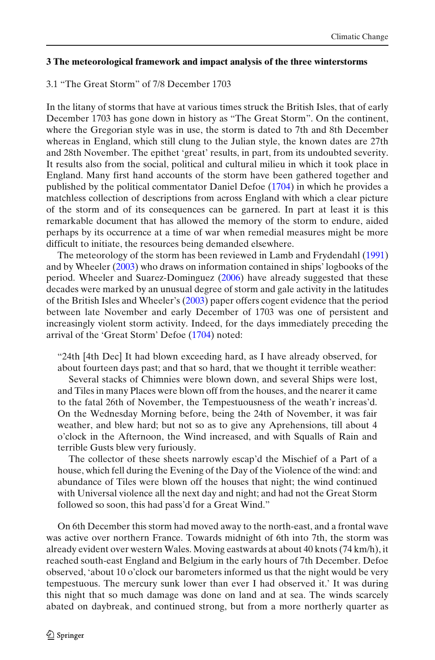# **3 The meteorological framework and impact analysis of the three winterstorms**

# 3.1 "The Great Storm" of 7/8 December 1703

In the litany of storms that have at various times struck the British Isles, that of early December 1703 has gone down in history as "The Great Storm". On the continent, where the Gregorian style was in use, the storm is dated to 7th and 8th December whereas in England, which still clung to the Julian style, the known dates are 27th and 28th November. The epithet 'great' results, in part, from its undoubted severity. It results also from the social, political and cultural milieu in which it took place in England. Many first hand accounts of the storm have been gathered together and published by the political commentator Daniel Defo[e](#page-26-0) [\(1704\)](#page-26-0) in which he provides a matchless collection of descriptions from across England with which a clear picture of the storm and of its consequences can be garnered. In part at least it is this remarkable document that has allowed the memory of the storm to endure, aided perhaps by its occurrence at a time of war when remedial measures might be more difficult to initiate, the resources being demanded elsewhere.

The meteorology of the storm has been reviewed in Lamb and Frydendah[l](#page-27-0) [\(1991\)](#page-27-0) and by Wheele[r](#page-29-0) [\(2003](#page-29-0)) who draws on information contained in ships' logbooks of the period. Wheeler and Suarez-Domingue[z](#page-29-0) [\(2006\)](#page-29-0) have already suggested that these decades were marked by an unusual degree of storm and gale activity in the latitudes of the British Isles and Wheeler's [\(2003\)](#page-29-0) paper offers cogent evidence that the period between late November and early December of 1703 was one of persistent and increasingly violent storm activity. Indeed, for the days immediately preceding the arrival of the 'Great Storm' Defo[e](#page-26-0) [\(1704](#page-26-0)) noted:

"24th [4th Dec] It had blown exceeding hard, as I have already observed, for about fourteen days past; and that so hard, that we thought it terrible weather:

Several stacks of Chimnies were blown down, and several Ships were lost, and Tiles in many Places were blown off from the houses, and the nearer it came to the fatal 26th of November, the Tempestuousness of the weath'r increas'd. On the Wednesday Morning before, being the 24th of November, it was fair weather, and blew hard; but not so as to give any Aprehensions, till about 4 o'clock in the Afternoon, the Wind increased, and with Squalls of Rain and terrible Gusts blew very furiously.

The collector of these sheets narrowly escap'd the Mischief of a Part of a house, which fell during the Evening of the Day of the Violence of the wind: and abundance of Tiles were blown off the houses that night; the wind continued with Universal violence all the next day and night; and had not the Great Storm followed so soon, this had pass'd for a Great Wind."

On 6th December this storm had moved away to the north-east, and a frontal wave was active over northern France. Towards midnight of 6th into 7th, the storm was already evident over western Wales. Moving eastwards at about 40 knots (74 km/h), it reached south-east England and Belgium in the early hours of 7th December. Defoe observed, 'about 10 o'clock our barometers informed us that the night would be very tempestuous. The mercury sunk lower than ever I had observed it.' It was during this night that so much damage was done on land and at sea. The winds scarcely abated on daybreak, and continued strong, but from a more northerly quarter as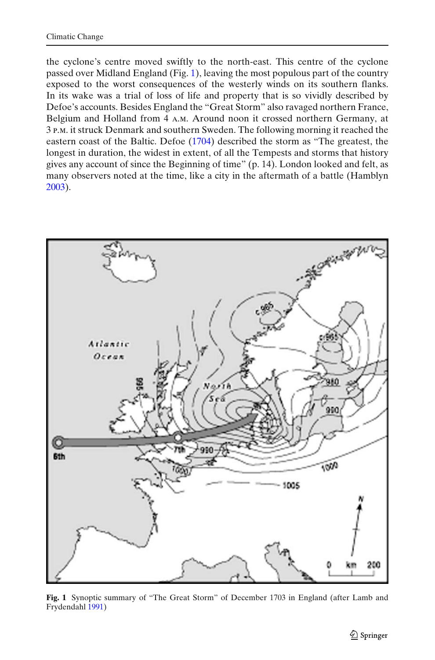the cyclone's centre moved swiftly to the north-east. This centre of the cyclone passed over Midland England (Fig. 1), leaving the most populous part of the country exposed to the worst consequences of the westerly winds on its southern flanks. In its wake was a trial of loss of life and property that is so vividly described by Defoe's accounts. Besides England the "Great Storm" also ravaged northern France, Belgium and Holland from 4 a.m. Around noon it crossed northern Germany, at 3 p.m. it struck Denmark and southern Sweden. The following morning it reached the eastern coast of the Baltic. Defo[e](#page-26-0) [\(1704](#page-26-0)) described the storm as "The greatest, the longest in duration, the widest in extent, of all the Tempests and storms that history gives any account of since the Beginning of time" (p. 14). London looked and felt, as many observers noted at the time, like a city in the aftermath of a battle (Hambly[n](#page-27-0) [2003\)](#page-27-0).



**Fig. 1** Synoptic summary of "The Great Storm" of December 1703 in England (after Lamb and Frydendah[l](#page-27-0) [1991\)](#page-27-0)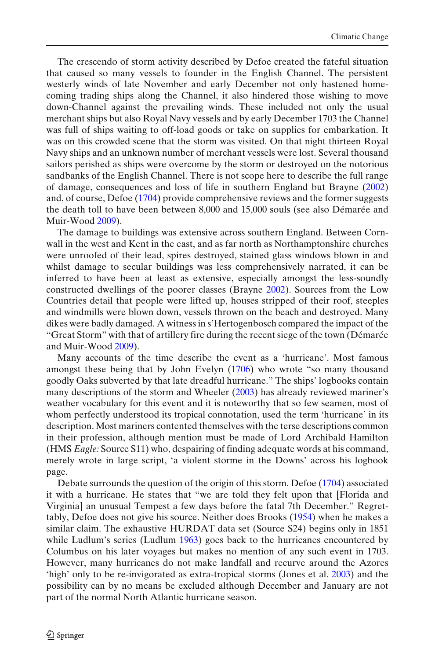The crescendo of storm activity described by Defoe created the fateful situation that caused so many vessels to founder in the English Channel. The persistent westerly winds of late November and early December not only hastened homecoming trading ships along the Channel, it also hindered those wishing to move down-Channel against the prevailing winds. These included not only the usual merchant ships but also Royal Navy vessels and by early December 1703 the Channel was full of ships waiting to off-load goods or take on supplies for embarkation. It was on this crowded scene that the storm was visited. On that night thirteen Royal Navy ships and an unknown number of merchant vessels were lost. Several thousand sailors perished as ships were overcome by the storm or destroyed on the notorious sandbanks of the English Channel. There is not scope here to describe the full range of damage, consequences and loss of life in southern England but Brayn[e](#page-26-0) [\(2002\)](#page-26-0) and, of course, Defo[e](#page-26-0) [\(1704\)](#page-26-0) provide comprehensive reviews and the former suggests the death toll to have been between 8,000 and 15,000 souls (see also Démarée and Muir-Woo[d](#page-26-0) [2009](#page-26-0)).

The damage to buildings was extensive across southern England. Between Cornwall in the west and Kent in the east, and as far north as Northamptonshire churches were unroofed of their lead, spires destroyed, stained glass windows blown in and whilst damage to secular buildings was less comprehensively narrated, it can be inferred to have been at least as extensive, especially amongst the less-soundly constructed dwellings of the poorer classes (Brayn[e](#page-26-0) [2002](#page-26-0)). Sources from the Low Countries detail that people were lifted up, houses stripped of their roof, steeples and windmills were blown down, vessels thrown on the beach and destroyed. Many dikes were badly damaged. A witness in s'Hertogenbosch compared the impact of the "Great Storm" with that of artillery fire during the recent siege of the town (Démarée and Muir-Woo[d](#page-26-0) [2009\)](#page-26-0).

Many accounts of the time describe the event as a 'hurricane'. Most famous amongst these being that by John Evely[n](#page-26-0) [\(1706\)](#page-26-0) who wrote "so many thousand goodly Oaks subverted by that late dreadful hurricane." The ships' logbooks contain many descriptions of the storm and Wheele[r](#page-29-0) [\(2003](#page-29-0)) has already reviewed mariner's weather vocabulary for this event and it is noteworthy that so few seamen, most of whom perfectly understood its tropical connotation, used the term 'hurricane' in its description. Most mariners contented themselves with the terse descriptions common in their profession, although mention must be made of Lord Archibald Hamilton (HMS *Eagle:* Source S11) who, despairing of finding adequate words at his command, merely wrote in large script, 'a violent storme in the Downs' across his logbook page.

Debate surrounds the question of the origin of this storm. Defo[e](#page-26-0) [\(1704\)](#page-26-0) associated it with a hurricane. He states that "we are told they felt upon that [Florida and Virginia] an unusual Tempest a few days before the fatal 7th December." Regrettably, Defoe does not give his source. Neither does Brook[s](#page-26-0) [\(1954](#page-26-0)) when he makes a similar claim. The exhaustive HURDAT data set (Source S24) begins only in 1851 while Ludlu[m](#page-27-0)'s series (Ludlum [1963](#page-27-0)) goes back to the hurricanes encountered by Columbus on his later voyages but makes no mention of any such event in 1703. However, many hurricanes do not make landfall and recurve around the Azores 'high' only to be re-invigorated as extra-tropical storms (Jones et al[.](#page-27-0) [2003](#page-27-0)) and the possibility can by no means be excluded although December and January are not part of the normal North Atlantic hurricane season.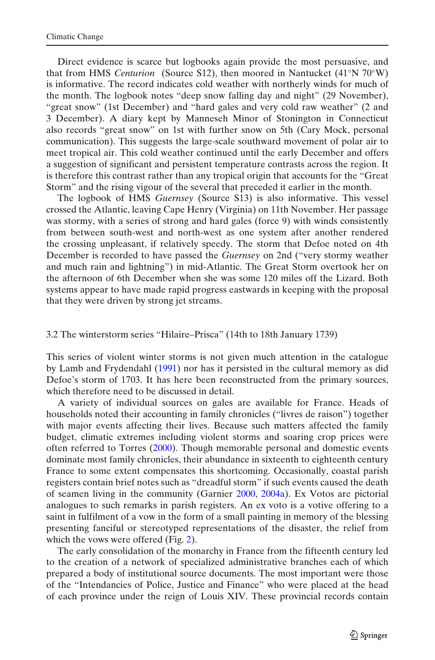Direct evidence is scarce but logbooks again provide the most persuasive, and that from HMS *Centurion* (Source S12), then moored in Nantucket (41◦N 70◦W) is informative. The record indicates cold weather with northerly winds for much of the month. The logbook notes "deep snow falling day and night" (29 November), "great snow" (1st December) and "hard gales and very cold raw weather" (2 and 3 December). A diary kept by Manneseh Minor of Stonington in Connecticut also records "great snow" on 1st with further snow on 5th (Cary Mock, personal communication). This suggests the large-scale southward movement of polar air to meet tropical air. This cold weather continued until the early December and offers a suggestion of significant and persistent temperature contrasts across the region. It is therefore this contrast rather than any tropical origin that accounts for the "Great Storm" and the rising vigour of the several that preceded it earlier in the month.

The logbook of HMS *Guernsey* (Source S13) is also informative. This vessel crossed the Atlantic, leaving Cape Henry (Virginia) on 11th November. Her passage was stormy, with a series of strong and hard gales (force 9) with winds consistently from between south-west and north-west as one system after another rendered the crossing unpleasant, if relatively speedy. The storm that Defoe noted on 4th December is recorded to have passed the *Guernsey* on 2nd ("very stormy weather and much rain and lightning") in mid-Atlantic. The Great Storm overtook her on the afternoon of 6th December when she was some 120 miles off the Lizard. Both systems appear to have made rapid progress eastwards in keeping with the proposal that they were driven by strong jet streams.

## 3.2 The winterstorm series "Hilaire–Prisca" (14th to 18th January 1739)

This series of violent winter storms is not given much attention in the catalogue by Lamb and Frydendah[l](#page-27-0) [\(1991\)](#page-27-0) nor has it persisted in the cultural memory as did Defoe's storm of 1703. It has here been reconstructed from the primary sources, which therefore need to be discussed in detail.

A variety of individual sources on gales are available for France. Heads of households noted their accounting in family chronicles ("livres de raison") together with major events affecting their lives. Because such matters affected the family budget, climatic extremes including violent storms and soaring crop prices were often referred to Torre[s](#page-28-0) [\(2000\)](#page-28-0). Though memorable personal and domestic events dominate most family chronicles, their abundance in sixteenth to eighteenth century France to some extent compensates this shortcoming. Occasionally, coastal parish registers contain brief notes such as "dreadful storm" if such events caused the death of seamen living in the community (Garnier [2000,](#page-27-0) [2004a\)](#page-27-0). Ex Votos are pictorial analogues to such remarks in parish registers. An ex voto is a votive offering to a saint in fulfilment of a vow in the form of a small painting in memory of the blessing presenting fanciful or stereotyped representations of the disaster, the relief from which the vows were offered (Fig. [2\)](#page-9-0).

The early consolidation of the monarchy in France from the fifteenth century led to the creation of a network of specialized administrative branches each of which prepared a body of institutional source documents. The most important were those of the "Intendancies of Police, Justice and Finance" who were placed at the head of each province under the reign of Louis XIV. These provincial records contain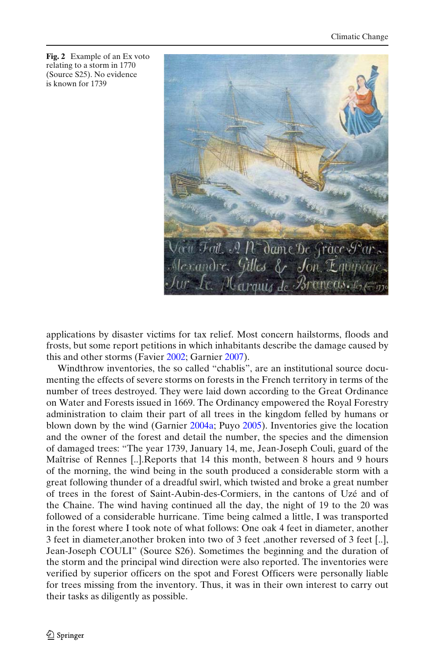<span id="page-9-0"></span>**Fig. 2** Example of an Ex voto relating to a storm in 1770 (Source S25). No evidence is known for 1739



applications by disaster victims for tax relief. Most concern hailstorms, floods and frosts, but some report petitions in which inhabitants describe the damage caused by this and other storms (Favie[r](#page-26-0) [2002](#page-26-0); Garnie[r](#page-27-0) [2007](#page-27-0)).

Windthrow inventories, the so called "chablis", are an institutional source documenting the effects of severe storms on forests in the French territory in terms of the number of trees destroyed. They were laid down according to the Great Ordinance on Water and Forests issued in 1669. The Ordinancy empowered the Royal Forestry administration to claim their part of all trees in the kingdom felled by humans or blown down by the wind (Garnie[r](#page-27-0) [2004a](#page-27-0); Puy[o](#page-28-0) [2005](#page-28-0)). Inventories give the location and the owner of the forest and detail the number, the species and the dimension of damaged trees: "The year 1739, January 14, me, Jean-Joseph Couli, guard of the Maîtrise of Rennes [..].Reports that 14 this month, between 8 hours and 9 hours of the morning, the wind being in the south produced a considerable storm with a great following thunder of a dreadful swirl, which twisted and broke a great number of trees in the forest of Saint-Aubin-des-Cormiers, in the cantons of Uzé and of the Chaine. The wind having continued all the day, the night of 19 to the 20 was followed of a considerable hurricane. Time being calmed a little, I was transported in the forest where I took note of what follows: One oak 4 feet in diameter, another 3 feet in diameter,another broken into two of 3 feet ,another reversed of 3 feet [..], Jean-Joseph COULI" (Source S26). Sometimes the beginning and the duration of the storm and the principal wind direction were also reported. The inventories were verified by superior officers on the spot and Forest Officers were personally liable for trees missing from the inventory. Thus, it was in their own interest to carry out their tasks as diligently as possible.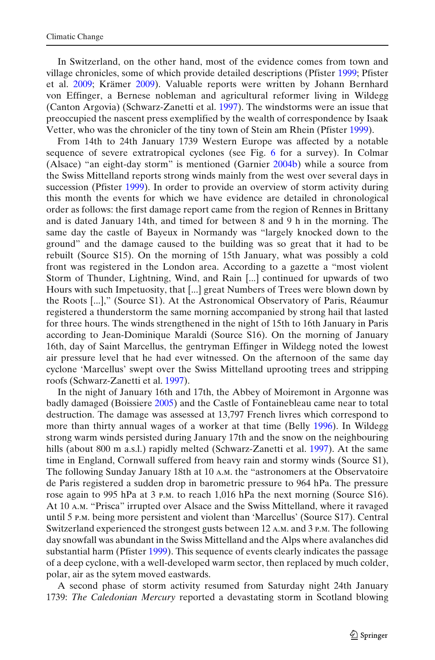In Switzerland, on the other hand, most of the evidence comes from town and village chronicles, some of which provide detailed descriptions (Pfiste[r](#page-28-0) [1999;](#page-28-0) Pfister et al[.](#page-28-0) [2009](#page-28-0); Kräme[r](#page-27-0) [2009](#page-27-0)). Valuable reports were written by Johann Bernhard von Effinger, a Bernese nobleman and agricultural reformer living in Wildegg (Canton Argovia) (Schwarz-Zanetti et al[.](#page-28-0) [1997](#page-28-0)). The windstorms were an issue that preoccupied the nascent press exemplified by the wealth of correspondence by Isaak Vetter, who was the chronicler of the tiny town of Stein am Rhein (Pfiste[r](#page-28-0) [1999](#page-28-0)).

From 14th to 24th January 1739 Western Europe was affected by a notable sequence of severe extratropical cyclones (see Fig. [6](#page-17-0) for a survey). In Colmar (Alsace) "an eight-day storm" is mentioned (Garnie[r](#page-27-0) [2004b\)](#page-27-0) while a source from the Swiss Mittelland reports strong winds mainly from the west over several days in succession (Pfiste[r](#page-28-0) [1999\)](#page-28-0). In order to provide an overview of storm activity during this month the events for which we have evidence are detailed in chronological order as follows: the first damage report came from the region of Rennes in Brittany and is dated January 14th, and timed for between 8 and 9 h in the morning. The same day the castle of Bayeux in Normandy was "largely knocked down to the ground" and the damage caused to the building was so great that it had to be rebuilt (Source S15). On the morning of 15th January, what was possibly a cold front was registered in the London area. According to a gazette a "most violent Storm of Thunder, Lightning, Wind, and Rain [...] continued for upwards of two Hours with such Impetuosity, that [...] great Numbers of Trees were blown down by the Roots [...]," (Source S1). At the Astronomical Observatory of Paris, Réaumur registered a thunderstorm the same morning accompanied by strong hail that lasted for three hours. The winds strengthened in the night of 15th to 16th January in Paris according to Jean-Dominique Maraldi (Source S16). On the morning of January 16th, day of Saint Marcellus, the gentryman Effinger in Wildegg noted the lowest air pressure level that he had ever witnessed. On the afternoon of the same day cyclone 'Marcellus' swept over the Swiss Mittelland uprooting trees and stripping roofs (Schwarz-Zanetti et al[.](#page-28-0) [1997\)](#page-28-0).

In the night of January 16th and 17th, the Abbey of Moiremont in Argonne was badly damaged (Boissier[e](#page-25-0) [2005](#page-25-0)) and the Castle of Fontainebleau came near to total destruction. The damage was assessed at 13,797 French livres which correspond to more than thirty annual wages of a worker at that time (Bell[y](#page-25-0) [1996\)](#page-25-0). In Wildegg strong warm winds persisted during January 17th and the snow on the neighbouring hills (about 800 m a[.](#page-28-0)s.l.) rapidly melted (Schwarz-Zanetti et al. [1997\)](#page-28-0). At the same time in England, Cornwall suffered from heavy rain and stormy winds (Source S1), The following Sunday January 18th at 10 a.m. the "astronomers at the Observatoire de Paris registered a sudden drop in barometric pressure to 964 hPa. The pressure rose again to 995 hPa at 3 p.m. to reach 1,016 hPa the next morning (Source S16). At 10 a.m. "Prisca" irrupted over Alsace and the Swiss Mittelland, where it ravaged until 5 p.m. being more persistent and violent than 'Marcellus' (Source S17). Central Switzerland experienced the strongest gusts between 12 a.m. and 3 p.m. The following day snowfall was abundant in the Swiss Mittelland and the Alps where avalanches did substantial harm (Pfiste[r](#page-28-0) [1999](#page-28-0)). This sequence of events clearly indicates the passage of a deep cyclone, with a well-developed warm sector, then replaced by much colder, polar, air as the sytem moved eastwards.

A second phase of storm activity resumed from Saturday night 24th January 1739: *The Caledonian Mercury* reported a devastating storm in Scotland blowing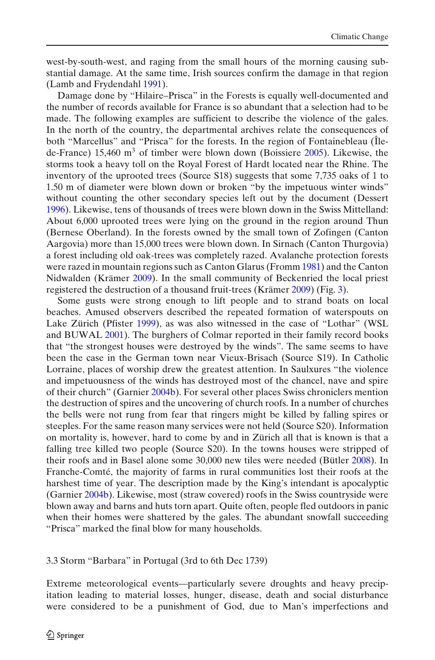<span id="page-11-0"></span>west-by-south-west, and raging from the small hours of the morning causing substantial damage. At the same time, Irish sources confirm the damage in that region (Lamb and Frydendah[l](#page-27-0) [1991\)](#page-27-0).

Damage done by "Hilaire–Prisca" in the Forests is equally well-documented and the number of records available for France is so abundant that a selection had to be made. The following examples are sufficient to describe the violence of the gales. In the north of the country, the departmental archives relate the consequences of both "Marcellus" and "Prisca" for the forests. In the region of Fontainebleau (Îled[e](#page-25-0)-France)  $15,460$  m<sup>3</sup> of timber were blown down (Boissiere [2005\)](#page-25-0). Likewise, the storms took a heavy toll on the Royal Forest of Hardt located near the Rhine. The inventory of the uprooted trees (Source S18) suggests that some 7,735 oaks of 1 to 1.50 m of diameter were blown down or broken "by the impetuous winter winds" without counting the other secondary species left out by the document (Desser[t](#page-26-0) [1996\)](#page-26-0). Likewise, tens of thousands of trees were blown down in the Swiss Mittelland: About 6,000 uprooted trees were lying on the ground in the region around Thun (Bernese Oberland). In the forests owned by the small town of Zofingen (Canton Aargovia) more than 15,000 trees were blown down. In Sirnach (Canton Thurgovia) a forest including old oak-trees was completely razed. Avalanche protection forests were razed in mountain regions such as Canton Glarus (From[m](#page-26-0) [1981](#page-26-0)) and the Canton Nidwalden (Kräme[r](#page-27-0) [2009](#page-27-0)). In the small community of Beckenried the local priest registered the destruction of a thousand fruit-trees (Krämer [2009\)](#page-27-0) (Fig. [3\)](#page-12-0).

Some gusts were strong enough to lift people and to strand boats on local beaches. Amused observers described the repeated formation of waterspouts on Lake Zürich (Pfiste[r](#page-28-0) [1999](#page-28-0)), as was also witnessed in the case of "Lothar" (WSL and BUWA[L](#page-29-0) [2001](#page-29-0)). The burghers of Colmar reported in their family record books that "the strongest houses were destroyed by the winds". The same seems to have been the case in the German town near Vieux-Brisach (Source S19). In Catholic Lorraine, places of worship drew the greatest attention. In Saulxures "the violence and impetuousness of the winds has destroyed most of the chancel, nave and spire of their church" (Garnie[r](#page-27-0) [2004b](#page-27-0)). For several other places Swiss chroniclers mention the destruction of spires and the uncovering of church roofs. In a number of churches the bells were not rung from fear that ringers might be killed by falling spires or steeples. For the same reason many services were not held (Source S20). Information on mortality is, however, hard to come by and in Zürich all that is known is that a falling tree killed two people (Source S20). In the towns houses were stripped of their roofs and in Basel alone some 30,000 new tiles were needed (Bütle[r](#page-26-0) [2008\)](#page-26-0). In Franche-Comté, the majority of farms in rural communities lost their roofs at the harshest time of year. The description made by the King's intendant is apocalyptic (Garnie[r](#page-27-0) [2004b\)](#page-27-0). Likewise, most (straw covered) roofs in the Swiss countryside were blown away and barns and huts torn apart. Quite often, people fled outdoors in panic when their homes were shattered by the gales. The abundant snowfall succeeding "Prisca" marked the final blow for many households.

3.3 Storm "Barbara" in Portugal (3rd to 6th Dec 1739)

Extreme meteorological events—particularly severe droughts and heavy precipitation leading to material losses, hunger, disease, death and social disturbance were considered to be a punishment of God, due to Man's imperfections and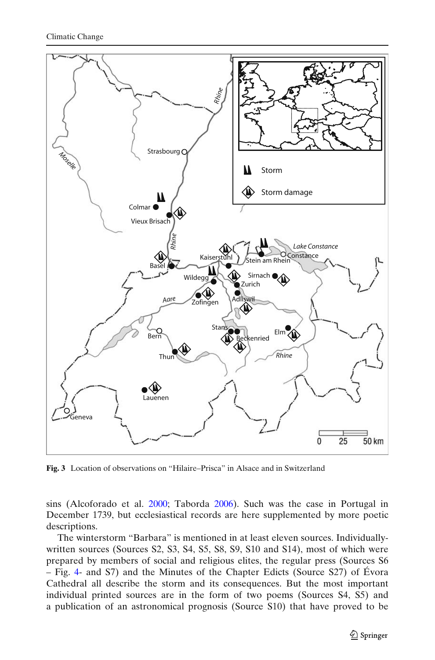<span id="page-12-0"></span>

**Fig. 3** Location of observations on "Hilaire–Prisca" in Alsace and in Switzerland

sins (Alcoforado et al[.](#page-25-0) [2000](#page-25-0); Tabord[a](#page-28-0) [2006\)](#page-28-0). Such was the case in Portugal in December 1739, but ecclesiastical records are here supplemented by more poetic descriptions.

The winterstorm "Barbara" is mentioned in at least eleven sources. Individuallywritten sources (Sources S2, S3, S4, S5, S8, S9, S10 and S14), most of which were prepared by members of social and religious elites, the regular press (Sources S6 – Fig. [4-](#page-13-0) and S7) and the Minutes of the Chapter Edicts (Source S27) of Évora Cathedral all describe the storm and its consequences. But the most important individual printed sources are in the form of two poems (Sources S4, S5) and a publication of an astronomical prognosis (Source S10) that have proved to be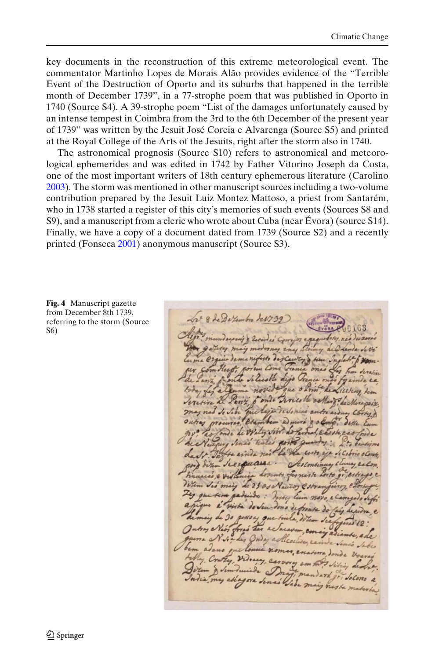<span id="page-13-0"></span>key documents in the reconstruction of this extreme meteorological event. The commentator Martinho Lopes de Morais Alão provides evidence of the "Terrible Event of the Destruction of Oporto and its suburbs that happened in the terrible month of December 1739", in a 77-strophe poem that was published in Oporto in 1740 (Source S4). A 39-strophe poem "List of the damages unfortunately caused by an intense tempest in Coimbra from the 3rd to the 6th December of the present year of 1739" was written by the Jesuit José Coreia e Alvarenga (Source S5) and printed at the Royal College of the Arts of the Jesuits, right after the storm also in 1740.

The astronomical prognosis (Source S10) refers to astronomical and meteorological ephemerides and was edited in 1742 by Father Vitorino Joseph da Costa, one of the most important writers of 18th century ephemerous literature (Carolin[o](#page-26-0) [2003\)](#page-26-0). The storm was mentioned in other manuscript sources including a two-volume contribution prepared by the Jesuit Luiz Montez Mattoso, a priest from Santarém, who in 1738 started a register of this city's memories of such events (Sources S8 and S9), and a manuscript from a cleric who wrote about Cuba (near Évora) (source S14). Finally, we have a copy of a document dated from 1739 (Source S2) and a recently printed (Fonsec[a](#page-26-0) [2001](#page-26-0)) anonymous manuscript (Source S3).

**Fig. 4** Manuscript gazette from December 8th 1739, referring to the storm (Source S6)

La 8 Le De Jembro Ser 199 Gerardes Correjos ego y moromy eny ale Jamanifusts das Cautery & time. onde tiluste à algame nov dedicilem tim Lewiz p colle och y nat de Sibi procures! etan Romirá & o Es dette londe de VValy votre de Partial, cash ca my Sind Kules ports Q helley Cents eye de Cobrio o Corolo dovents ferniste Lorto acas e viole Wim Sis may de 23 0s Navis & strangung, e. Ty que tem pa : okis they Cum novo, clas apique à vista de seu donc difronte do Pay deside e in de 30 persoay one Jutry Nãos for ras dar ac Viladas Onday acto se, camba venão Jabe nomes, ensters, donde Vous elone Widowy carvory em mes vitring deshe Likey, Cratey, Simminds Dra Timandard gri docono a Try abiggore densi Vade may neste por dolono a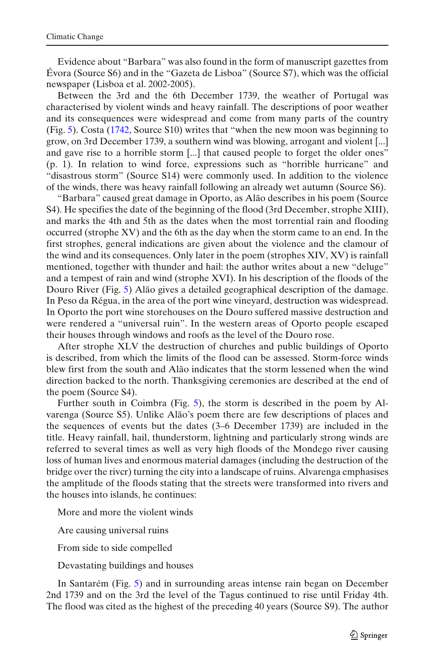Evidence about "Barbara" was also found in the form of manuscript gazettes from Évora (Source S6) and in the "Gazeta de Lisboa" (Source S7), which was the official newspaper (Lisboa et al. 2002-2005).

Between the 3rd and the 6th December 1739, the weather of Portugal was characterised by violent winds and heavy rainfall. The descriptions of poor weather and its consequences were widespread and come from many parts of the country (Fig. [5\)](#page-15-0). Costa [\(1742,](#page-25-0) Source S10) writes that "when the new moon was beginning to grow, on 3rd December 1739, a southern wind was blowing, arrogant and violent [...] and gave rise to a horrible storm [...] that caused people to forget the older ones" (p. 1). In relation to wind force, expressions such as "horrible hurricane" and "disastrous storm" (Source S14) were commonly used. In addition to the violence of the winds, there was heavy rainfall following an already wet autumn (Source S6).

"Barbara" caused great damage in Oporto, as Alão describes in his poem (Source S4). He specifies the date of the beginning of the flood (3rd December, strophe XIII), and marks the 4th and 5th as the dates when the most torrential rain and flooding occurred (strophe XV) and the 6th as the day when the storm came to an end. In the first strophes, general indications are given about the violence and the clamour of the wind and its consequences. Only later in the poem (strophes XIV, XV) is rainfall mentioned, together with thunder and hail: the author writes about a new "deluge" and a tempest of rain and wind (strophe XVI). In his description of the floods of the Douro River (Fig. [5\)](#page-15-0) Alão gives a detailed geographical description of the damage. In Peso da Régua, in the area of the port wine vineyard, destruction was widespread. In Oporto the port wine storehouses on the Douro suffered massive destruction and were rendered a "universal ruin". In the western areas of Oporto people escaped their houses through windows and roofs as the level of the Douro rose.

After strophe XLV the destruction of churches and public buildings of Oporto is described, from which the limits of the flood can be assessed. Storm-force winds blew first from the south and Alão indicates that the storm lessened when the wind direction backed to the north. Thanksgiving ceremonies are described at the end of the poem (Source S4).

Further south in Coimbra (Fig. [5\)](#page-15-0), the storm is described in the poem by Alvarenga (Source S5). Unlike Alão's poem there are few descriptions of places and the sequences of events but the dates (3–6 December 1739) are included in the title. Heavy rainfall, hail, thunderstorm, lightning and particularly strong winds are referred to several times as well as very high floods of the Mondego river causing loss of human lives and enormous material damages (including the destruction of the bridge over the rivcr) turning the city into a landscape of ruins. Alvarenga emphasises the amplitude of the floods stating that the streets were transformed into rivers and the houses into islands, he continues:

More and more the violent winds

Are causing universal ruins

From side to side compelled

Devastating buildings and houses

In Santarém (Fig. [5\)](#page-15-0) and in surrounding areas intense rain began on December 2nd 1739 and on the 3rd the level of the Tagus continued to rise until Friday 4th. The flood was cited as the highest of the preceding 40 years (Source S9). The author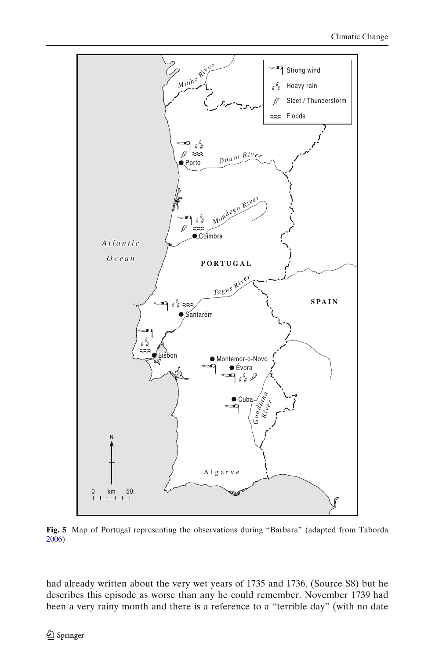<span id="page-15-0"></span>

**Fig. 5** Map of Portugal representing the observations during "Barbara" (adapted from Tabord[a](#page-28-0) [2006\)](#page-28-0)

had already written about the very wet years of 1735 and 1736, (Source S8) but he describes this episode as worse than any he could remember. November 1739 had been a very rainy month and there is a reference to a "terrible day" (with no date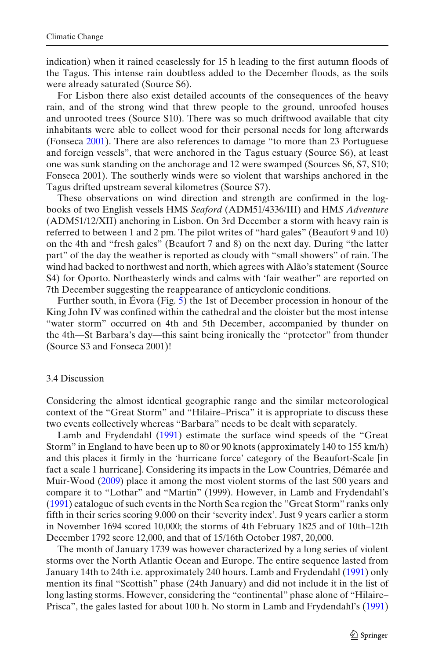indication) when it rained ceaselessly for 15 h leading to the first autumn floods of the Tagus. This intense rain doubtless added to the December floods, as the soils were already saturated (Source S6).

For Lisbon there also exist detailed accounts of the consequences of the heavy rain, and of the strong wind that threw people to the ground, unroofed houses and unrooted trees (Source S10). There was so much driftwood available that city inhabitants were able to collect wood for their personal needs for long afterwards (Fonsec[a](#page-26-0) [2001](#page-26-0)). There are also references to damage "to more than 23 Portuguese and foreign vessels", that were anchored in the Tagus estuary (Source S6), at least one was sunk standing on the anchorage and 12 were swamped (Sources S6, S7, S10; Fonseca 2001). The southerly winds were so violent that warships anchored in the Tagus drifted upstream several kilometres (Source S7).

These observations on wind direction and strength are confirmed in the logbooks of two English vessels HMS *Seaford* (ADM51/4336/III) and HM*S Adventure* (ADM51/12/XII) anchoring in Lisbon. On 3rd December a storm with heavy rain is referred to between 1 and 2 pm. The pilot writes of "hard gales" (Beaufort 9 and 10) on the 4th and "fresh gales" (Beaufort 7 and 8) on the next day. During "the latter part" of the day the weather is reported as cloudy with "small showers" of rain. The wind had backed to northwest and north, which agrees with Alão's statement (Source S4) for Oporto. Northeasterly winds and calms with 'fair weather" are reported on 7th December suggesting the reappearance of anticyclonic conditions.

Further south, in Évora (Fig. [5\)](#page-15-0) the 1st of December procession in honour of the King John IV was confined within the cathedral and the cloister but the most intense "water storm" occurred on 4th and 5th December, accompanied by thunder on the 4th—St Barbara's day—this saint being ironically the "protector" from thunder (Source S3 and Fonseca 2001)!

#### 3.4 Discussion

Considering the almost identical geographic range and the similar meteorological context of the "Great Storm" and "Hilaire–Prisca" it is appropriate to discuss these two events collectively whereas "Barbara" needs to be dealt with separately.

Lamb and Frydendah[l](#page-27-0) [\(1991](#page-27-0)) estimate the surface wind speeds of the "Great Storm" in England to have been up to 80 or 90 knots (approximately 140 to 155 km/h) and this places it firmly in the 'hurricane force' category of the Beaufort-Scale [in fact a scale 1 hurricane]. Considering its impacts in the Low Countries, Démarée and Muir-Woo[d](#page-26-0) [\(2009](#page-26-0)) place it among the most violent storms of the last 500 years and compare it to "Lothar" and "Martin" (1999). However, in Lamb and Frydendahl's [\(1991](#page-27-0)) catalogue of such events in the North Sea region the "Great Storm" ranks only fifth in their series scoring 9,000 on their 'severity index'. Just 9 years earlier a storm in November 1694 scored 10,000; the storms of 4th February 1825 and of 10th–12th December 1792 score 12,000, and that of 15/16th October 1987, 20,000.

The month of January 1739 was however characterized by a long series of violent storms over the North Atlantic Ocean and Europe. The entire sequence lasted from January 14th to 24th i.e. approximately 240 hours. Lamb and Frydendah[l](#page-27-0) [\(1991\)](#page-27-0) only mention its final "Scottish" phase (24th January) and did not include it in the list of long lasting storms. However, considering the "continental" phase alone of "Hilaire– Prisca", the gales lasted for about 100 h. No storm in Lamb and Frydendahl's [\(1991\)](#page-27-0)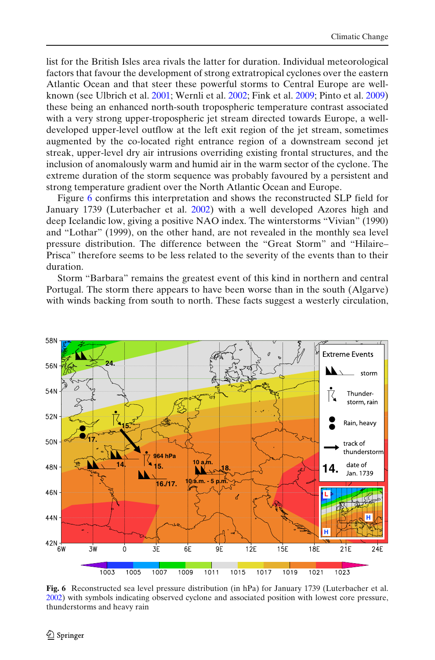<span id="page-17-0"></span>list for the British Isles area rivals the latter for duration. Individual meteorological factors that favour the development of strong extratropical cyclones over the eastern Atlantic Ocean and that steer these powerful storms to Central Europe are wellknown (see Ulbrich et al[.](#page-28-0) [2001](#page-28-0); Wernli et al[.](#page-28-0) [2002;](#page-28-0) Fink et al[.](#page-26-0) [2009;](#page-26-0) Pinto et al[.](#page-28-0) [2009\)](#page-28-0) these being an enhanced north-south tropospheric temperature contrast associated with a very strong upper-tropospheric jet stream directed towards Europe, a welldeveloped upper-level outflow at the left exit region of the jet stream, sometimes augmented by the co-located right entrance region of a downstream second jet streak, upper-level dry air intrusions overriding existing frontal structures, and the inclusion of anomalously warm and humid air in the warm sector of the cyclone. The extreme duration of the storm sequence was probably favoured by a persistent and strong temperature gradient over the North Atlantic Ocean and Europe.

Figure 6 confirms this interpretation and shows the reconstructed SLP field for January 1739 (Luterbacher et al[.](#page-27-0) [2002](#page-27-0)) with a well developed Azores high and deep Icelandic low, giving a positive NAO index. The winterstorms "Vivian" (1990) and "Lothar" (1999), on the other hand, are not revealed in the monthly sea level pressure distribution. The difference between the "Great Storm" and "Hilaire– Prisca" therefore seems to be less related to the severity of the events than to their duration.

Storm "Barbara" remains the greatest event of this kind in northern and central Portugal. The storm there appears to have been worse than in the south (Algarve) with winds backing from south to north. These facts suggest a westerly circulation,



**Fig. 6** Reconstructed sea level pressure distribution (in hPa) for January 1739 (Luterbacher et al[.](#page-27-0) [2002\)](#page-27-0) with symbols indicating observed cyclone and associated position with lowest core pressure, thunderstorms and heavy rain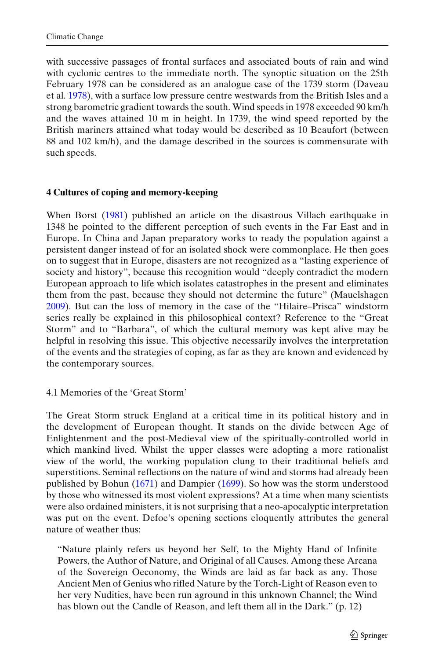<span id="page-18-0"></span>with successive passages of frontal surfaces and associated bouts of rain and wind with cyclonic centres to the immediate north. The synoptic situation on the 25th February 1978 can be considered as an analogue case of the 1739 storm (Daveau et al[.](#page-26-0) [1978\)](#page-26-0), with a surface low pressure centre westwards from the British Isles and a strong barometric gradient towards the south. Wind speeds in 1978 exceeded 90 km/h and the waves attained 10 m in height. In 1739, the wind speed reported by the British mariners attained what today would be described as 10 Beaufort (between 88 and 102 km/h), and the damage described in the sources is commensurate with such speeds.

## **4 Cultures of coping and memory-keeping**

When Bors[t](#page-25-0) [\(1981](#page-25-0)) published an article on the disastrous Villach earthquake in 1348 he pointed to the different perception of such events in the Far East and in Europe. In China and Japan preparatory works to ready the population against a persistent danger instead of for an isolated shock were commonplace. He then goes on to suggest that in Europe, disasters are not recognized as a "lasting experience of society and history", because this recognition would "deeply contradict the modern European approach to life which isolates catastrophes in the present and eliminates them from the past, because they should not determine the future" (Mauelshage[n](#page-27-0) [2009\)](#page-27-0). But can the loss of memory in the case of the "Hilaire–Prisca" windstorm series really be explained in this philosophical context? Reference to the "Great Storm" and to "Barbara", of which the cultural memory was kept alive may be helpful in resolving this issue. This objective necessarily involves the interpretation of the events and the strategies of coping, as far as they are known and evidenced by the contemporary sources.

# 4.1 Memories of the 'Great Storm'

The Great Storm struck England at a critical time in its political history and in the development of European thought. It stands on the divide between Age of Enlightenment and the post-Medieval view of the spiritually-controlled world in which mankind lived. Whilst the upper classes were adopting a more rationalist view of the world, the working population clung to their traditional beliefs and superstitions. Seminal reflections on the nature of wind and storms had already been published by Bohu[n](#page-25-0) [\(1671\)](#page-25-0) and Dampie[r](#page-26-0) [\(1699\)](#page-26-0). So how was the storm understood by those who witnessed its most violent expressions? At a time when many scientists were also ordained ministers, it is not surprising that a neo-apocalyptic interpretation was put on the event. Defoe's opening sections eloquently attributes the general nature of weather thus:

"Nature plainly refers us beyond her Self, to the Mighty Hand of Infinite Powers, the Author of Nature, and Original of all Causes. Among these Arcana of the Sovereign Oeconomy, the Winds are laid as far back as any. Those Ancient Men of Genius who rifled Nature by the Torch-Light of Reason even to her very Nudities, have been run aground in this unknown Channel; the Wind has blown out the Candle of Reason, and left them all in the Dark." (p. 12)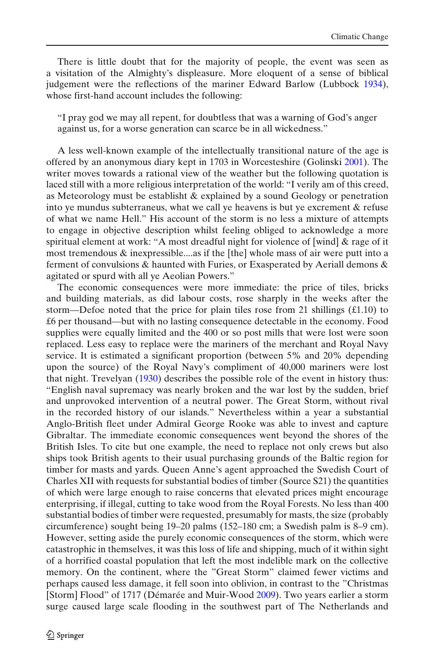There is little doubt that for the majority of people, the event was seen as a visitation of the Almighty's displeasure. More eloquent of a sense of biblical judgement were the reflections of the mariner Edward Barlow (Lubboc[k](#page-27-0) [1934\)](#page-27-0), whose first-hand account includes the following:

"I pray god we may all repent, for doubtless that was a warning of God's anger against us, for a worse generation can scarce be in all wickedness."

A less well-known example of the intellectually transitional nature of the age is offered by an anonymous diary kept in 1703 in Worcesteshire (Golinsk[i](#page-27-0) [2001](#page-27-0)). The writer moves towards a rational view of the weather but the following quotation is laced still with a more religious interpretation of the world: "I verily am of this creed, as Meteorology must be establisht & explained by a sound Geology or penetration into ye mundus subterraneus, what we call ye heavens is but ye excrement  $\&$  refuse of what we name Hell." His account of the storm is no less a mixture of attempts to engage in objective description whilst feeling obliged to acknowledge a more spiritual element at work: "A most dreadful night for violence of [wind] & rage of it most tremendous & inexpressible....as if the [the] whole mass of air were putt into a ferment of convulsions & haunted with Furies, or Exasperated by Aeriall demons & agitated or spurd with all ye Aeolian Powers."

The economic consequences were more immediate: the price of tiles, bricks and building materials, as did labour costs, rose sharply in the weeks after the storm—Defoe noted that the price for plain tiles rose from 21 shillings (£1.10) to £6 per thousand—but with no lasting consequence detectable in the economy. Food supplies were equally limited and the 400 or so post mills that were lost were soon replaced. Less easy to replace were the mariners of the merchant and Royal Navy service. It is estimated a significant proportion (between 5% and 20% depending upon the source) of the Royal Navy's compliment of 40,000 mariners were lost that night. Trevelya[n](#page-28-0) [\(1930](#page-28-0)) describes the possible role of the event in history thus: "English naval supremacy was nearly broken and the war lost by the sudden, brief and unprovoked intervention of a neutral power. The Great Storm, without rival in the recorded history of our islands." Nevertheless within a year a substantial Anglo-British fleet under Admiral George Rooke was able to invest and capture Gibraltar. The immediate economic consequences went beyond the shores of the British Isles. To cite but one example, the need to replace not only crews but also ships took British agents to their usual purchasing grounds of the Baltic region for timber for masts and yards. Queen Anne's agent approached the Swedish Court of Charles XII with requests for substantial bodies of timber (Source S21) the quantities of which were large enough to raise concerns that elevated prices might encourage enterprising, if illegal, cutting to take wood from the Royal Forests. No less than 400 substantial bodies of timber were requested, presumably for masts, the size (probably circumference) sought being 19–20 palms (152–180 cm; a Swedish palm is 8–9 cm). However, setting aside the purely economic consequences of the storm, which were catastrophic in themselves, it was this loss of life and shipping, much of it within sight of a horrified coastal population that left the most indelible mark on the collective memory. On the continent, where the "Great Storm" claimed fewer victims and perhaps caused less damage, it fell soon into oblivion, in contrast to the "Christmas [Storm] Flood" of 1717 (Démarée and Muir-Woo[d](#page-26-0) [2009](#page-26-0)). Two years earlier a storm surge caused large scale flooding in the southwest part of The Netherlands and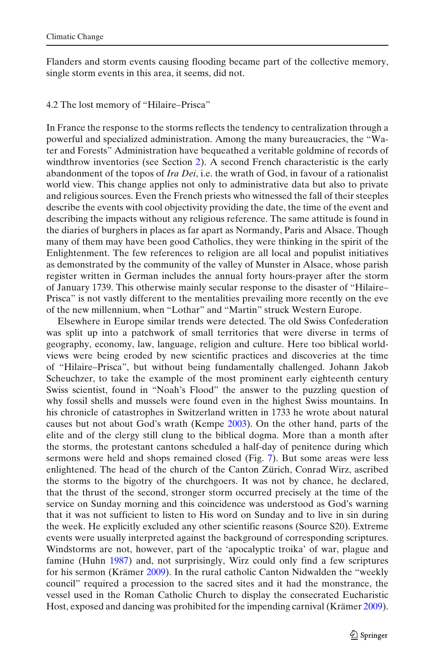Flanders and storm events causing flooding became part of the collective memory, single storm events in this area, it seems, did not.

# 4.2 The lost memory of "Hilaire–Prisca"

In France the response to the storms reflects the tendency to centralization through a powerful and specialized administration. Among the many bureaucracies, the "Water and Forests" Administration have bequeathed a veritable goldmine of records of windthrow inventories (see Section [2\)](#page-3-0). A second French characteristic is the early abandonment of the topos of *Ira Dei*, i.e. the wrath of God, in favour of a rationalist world view. This change applies not only to administrative data but also to private and religious sources. Even the French priests who witnessed the fall of their steeples describe the events with cool objectivity providing the date, the time of the event and describing the impacts without any religious reference. The same attitude is found in the diaries of burghers in places as far apart as Normandy, Paris and Alsace. Though many of them may have been good Catholics, they were thinking in the spirit of the Enlightenment. The few references to religion are all local and populist initiatives as demonstrated by the community of the valley of Munster in Alsace, whose parish register written in German includes the annual forty hours-prayer after the storm of January 1739. This otherwise mainly secular response to the disaster of "Hilaire– Prisca" is not vastly different to the mentalities prevailing more recently on the eve of the new millennium, when "Lothar" and "Martin" struck Western Europe.

Elsewhere in Europe similar trends were detected. The old Swiss Confederation was split up into a patchwork of small territories that were diverse in terms of geography, economy, law, language, religion and culture. Here too biblical worldviews were being eroded by new scientific practices and discoveries at the time of "Hilaire–Prisca", but without being fundamentally challenged. Johann Jakob Scheuchzer, to take the example of the most prominent early eighteenth century Swiss scientist, found in "Noah's Flood" the answer to the puzzling question of why fossil shells and mussels were found even in the highest Swiss mountains. In his chronicle of catastrophes in Switzerland written in 1733 he wrote about natural causes but not about God's wrath (Kemp[e](#page-27-0) [2003](#page-27-0)). On the other hand, parts of the elite and of the clergy still clung to the biblical dogma. More than a month after the storms, the protestant cantons scheduled a half-day of penitence during which sermons were held and shops remained closed (Fig. [7\)](#page-21-0). But some areas were less enlightened. The head of the church of the Canton Zürich, Conrad Wirz, ascribed the storms to the bigotry of the churchgoers. It was not by chance, he declared, that the thrust of the second, stronger storm occurred precisely at the time of the service on Sunday morning and this coincidence was understood as God's warning that it was not sufficient to listen to His word on Sunday and to live in sin during the week. He explicitly excluded any other scientific reasons (Source S20). Extreme events were usually interpreted against the background of corresponding scriptures. Windstorms are not, however, part of the 'apocalyptic troika' of war, plague and famine (Huh[n](#page-27-0) [1987\)](#page-27-0) and, not surprisingly, Wirz could only find a few scriptures for his sermon (Kräme[r](#page-27-0) [2009](#page-27-0)). In the rural catholic Canton Nidwalden the "weekly council" required a procession to the sacred sites and it had the monstrance, the vessel used in the Roman Catholic Church to display the consecrated Eucharistic Host, exposed and dancing was prohibited for the impending carnival (Kräme[r](#page-27-0) [2009\)](#page-27-0).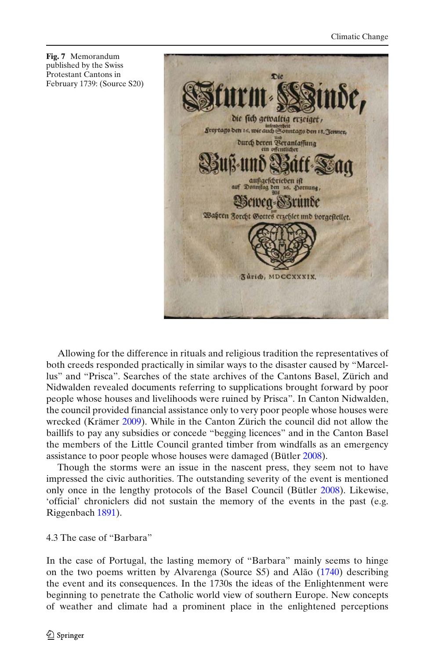<span id="page-21-0"></span>**Fig. 7** Memorandum published by the Swiss Protestant Cantons in February 1739: (Source S20)



Allowing for the difference in rituals and religious tradition the representatives of both creeds responded practically in similar ways to the disaster caused by "Marcellus" and "Prisca". Searches of the state archives of the Cantons Basel, Zürich and Nidwalden revealed documents referring to supplications brought forward by poor people whose houses and livelihoods were ruined by Prisca". In Canton Nidwalden, the council provided financial assistance only to very poor people whose houses were wrecked (Kräme[r](#page-27-0) [2009\)](#page-27-0). While in the Canton Zürich the council did not allow the baillifs to pay any subsidies or concede "begging licences" and in the Canton Basel the members of the Little Council granted timber from windfalls as an emergency assistance to poor people whose houses were damaged (Bütle[r](#page-26-0) [2008](#page-26-0)).

Though the storms were an issue in the nascent press, they seem not to have impressed the civic authorities. The outstanding severity of the event is mentioned only once in the lengthy protocols of the Basel Council (Bütle[r](#page-26-0) [2008](#page-26-0)). Likewise, 'official' chroniclers did not sustain the memory of the events in the past (e.g. Riggenbac[h](#page-28-0) [1891](#page-28-0)).

## 4.3 The case of "Barbara"

In the case of Portugal, the lasting memory of "Barbara" mainly seems to hinge on the two poems written by Alvarenga (Source S5) and Alã[o](#page-24-0) [\(1740\)](#page-24-0) describing the event and its consequences. In the 1730s the ideas of the Enlightenment were beginning to penetrate the Catholic world view of southern Europe. New concepts of weather and climate had a prominent place in the enlightened perceptions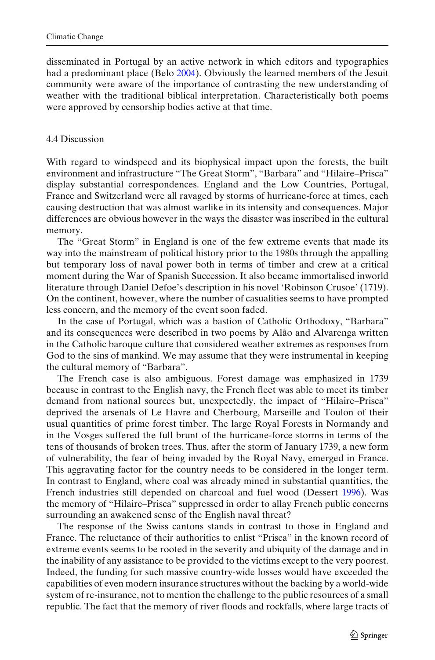disseminated in Portugal by an active network in which editors and typographies had a predominant place (Bel[o](#page-25-0) [2004\)](#page-25-0). Obviously the learned members of the Jesuit community were aware of the importance of contrasting the new understanding of weather with the traditional biblical interpretation. Characteristically both poems were approved by censorship bodies active at that time.

# 4.4 Discussion

With regard to windspeed and its biophysical impact upon the forests, the built environment and infrastructure "The Great Storm", "Barbara" and "Hilaire–Prisca" display substantial correspondences. England and the Low Countries, Portugal, France and Switzerland were all ravaged by storms of hurricane-force at times, each causing destruction that was almost warlike in its intensity and consequences. Major differences are obvious however in the ways the disaster was inscribed in the cultural memory.

The "Great Storm" in England is one of the few extreme events that made its way into the mainstream of political history prior to the 1980s through the appalling but temporary loss of naval power both in terms of timber and crew at a critical moment during the War of Spanish Succession. It also became immortalised inworld literature through Daniel Defoe's description in his novel 'Robinson Crusoe' (1719). On the continent, however, where the number of casualities seems to have prompted less concern, and the memory of the event soon faded.

In the case of Portugal, which was a bastion of Catholic Orthodoxy, "Barbara" and its consequences were described in two poems by Alão and Alvarenga written in the Catholic baroque culture that considered weather extremes as responses from God to the sins of mankind. We may assume that they were instrumental in keeping the cultural memory of "Barbara".

The French case is also ambiguous. Forest damage was emphasized in 1739 because in contrast to the English navy, the French fleet was able to meet its timber demand from national sources but, unexpectedly, the impact of "Hilaire–Prisca" deprived the arsenals of Le Havre and Cherbourg, Marseille and Toulon of their usual quantities of prime forest timber. The large Royal Forests in Normandy and in the Vosges suffered the full brunt of the hurricane-force storms in terms of the tens of thousands of broken trees. Thus, after the storm of January 1739, a new form of vulnerability, the fear of being invaded by the Royal Navy, emerged in France. This aggravating factor for the country needs to be considered in the longer term. In contrast to England, where coal was already mined in substantial quantities, the French industries still depended on charcoal and fuel wood (Desser[t](#page-26-0) [1996\)](#page-26-0). Was the memory of "Hilaire–Prisca" suppressed in order to allay French public concerns surrounding an awakened sense of the English naval threat?

The response of the Swiss cantons stands in contrast to those in England and France. The reluctance of their authorities to enlist "Prisca" in the known record of extreme events seems to be rooted in the severity and ubiquity of the damage and in the inability of any assistance to be provided to the victims except to the very poorest. Indeed, the funding for such massive country-wide losses would have exceeded the capabilities of even modern insurance structures without the backing by a world-wide system of re-insurance, not to mention the challenge to the public resources of a small republic. The fact that the memory of river floods and rockfalls, where large tracts of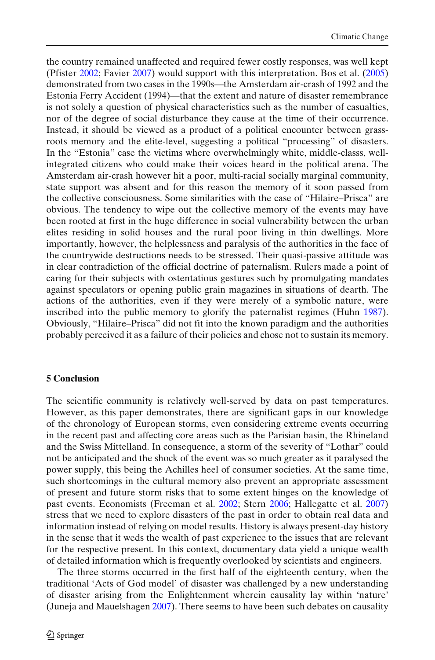the country remained unaffected and required fewer costly responses, was well kept (Pfiste[r](#page-28-0) [2002](#page-28-0); Favie[r](#page-26-0) [2007](#page-26-0)) would support with this interpretation. Bos et al[.](#page-25-0) [\(2005\)](#page-25-0) demonstrated from two cases in the 1990s—the Amsterdam air-crash of 1992 and the Estonia Ferry Accident (1994)—that the extent and nature of disaster remembrance is not solely a question of physical characteristics such as the number of casualties, nor of the degree of social disturbance they cause at the time of their occurrence. Instead, it should be viewed as a product of a political encounter between grassroots memory and the elite-level, suggesting a political "processing" of disasters. In the "Estonia" case the victims where overwhelmingly white, middle-classs, wellintegrated citizens who could make their voices heard in the political arena. The Amsterdam air-crash however hit a poor, multi-racial socially marginal community, state support was absent and for this reason the memory of it soon passed from the collective consciousness. Some similarities with the case of "Hilaire–Prisca" are obvious. The tendency to wipe out the collective memory of the events may have been rooted at first in the huge difference in social vulnerability between the urban elites residing in solid houses and the rural poor living in thin dwellings. More importantly, however, the helplessness and paralysis of the authorities in the face of the countrywide destructions needs to be stressed. Their quasi-passive attitude was in clear contradiction of the official doctrine of paternalism. Rulers made a point of caring for their subjects with ostentatious gestures such by promulgating mandates against speculators or opening public grain magazines in situations of dearth. The actions of the authorities, even if they were merely of a symbolic nature, were inscribed into the public memory to glorify the paternalist regimes (Huh[n](#page-27-0) [1987\)](#page-27-0). Obviously, "Hilaire–Prisca" did not fit into the known paradigm and the authorities probably perceived it as a failure of their policies and chose not to sustain its memory.

# **5 Conclusion**

The scientific community is relatively well-served by data on past temperatures. However, as this paper demonstrates, there are significant gaps in our knowledge of the chronology of European storms, even considering extreme events occurring in the recent past and affecting core areas such as the Parisian basin, the Rhineland and the Swiss Mittelland. In consequence, a storm of the severity of "Lothar" could not be anticipated and the shock of the event was so much greater as it paralysed the power supply, this being the Achilles heel of consumer societies. At the same time, such shortcomings in the cultural memory also prevent an appropriate assessment of present and future storm risks that to some extent hinges on the knowledge of past events. Economists (Freeman et al[.](#page-26-0) [2002](#page-26-0); Ster[n](#page-28-0) [2006;](#page-28-0) Hallegatte et al[.](#page-27-0) [2007\)](#page-27-0) stress that we need to explore disasters of the past in order to obtain real data and information instead of relying on model results. History is always present-day history in the sense that it weds the wealth of past experience to the issues that are relevant for the respective present. In this context, documentary data yield a unique wealth of detailed information which is frequently overlooked by scientists and engineers.

The three storms occurred in the first half of the eighteenth century, when the traditional 'Acts of God model' of disaster was challenged by a new understanding of disaster arising from the Enlightenment wherein causality lay within 'nature' (Juneja and Mauelshage[n](#page-27-0) [2007](#page-27-0)). There seems to have been such debates on causality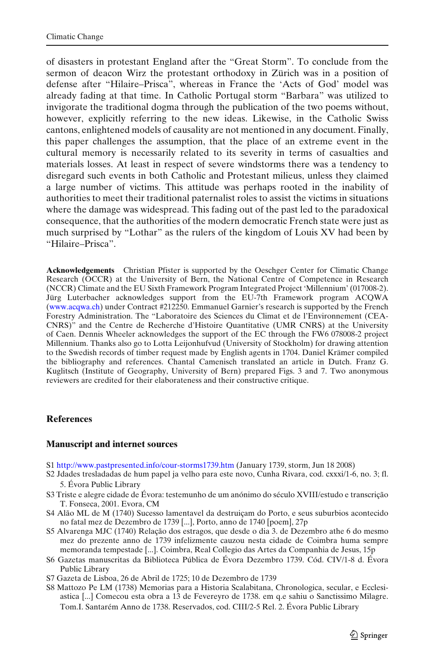<span id="page-24-0"></span>of disasters in protestant England after the "Great Storm". To conclude from the sermon of deacon Wirz the protestant orthodoxy in Zürich was in a position of defense after "Hilaire–Prisca", whereas in France the 'Acts of God' model was already fading at that time. In Catholic Portugal storm "Barbara" was utilized to invigorate the traditional dogma through the publication of the two poems without, however, explicitly referring to the new ideas. Likewise, in the Catholic Swiss cantons, enlightened models of causality are not mentioned in any document. Finally, this paper challenges the assumption, that the place of an extreme event in the cultural memory is necessarily related to its severity in terms of casualties and materials losses. At least in respect of severe windstorms there was a tendency to disregard such events in both Catholic and Protestant milieus, unless they claimed a large number of victims. This attitude was perhaps rooted in the inability of authorities to meet their traditional paternalist roles to assist the victims in situations where the damage was widespread. This fading out of the past led to the paradoxical consequence, that the authorities of the modern democratic French state were just as much surprised by "Lothar" as the rulers of the kingdom of Louis XV had been by "Hilaire–Prisca".

**Acknowledgements** Christian Pfister is supported by the Oeschger Center for Climatic Change Research (OCCR) at the University of Bern, the National Centre of Competence in Research (NCCR) Climate and the EU Sixth Framework Program Integrated Project 'Millennium' (017008-2). Jürg Luterbacher acknowledges support from the EU-7th Framework program ACQWA [\(www.acqwa.ch\)](http://www.acqwa.ch) under Contract #212250. Emmanuel Garnier's research is supported by the French Forestry Administration. The "Laboratoire des Sciences du Climat et de l'Environnement (CEA-CNRS)" and the Centre de Recherche d'Histoire Quantitative (UMR CNRS) at the University of Caen. Dennis Wheeler acknowledges the support of the EC through the FW6 078008-2 project Millennium. Thanks also go to Lotta Leijonhufvud (University of Stockholm) for drawing attention to the Swedish records of timber request made by English agents in 1704. Daniel Krämer compiled the bibliography and references. Chantal Camenisch translated an article in Dutch. Franz G. Kuglitsch (Institute of Geography, University of Bern) prepared Figs. 3 and 7. Two anonymous reviewers are credited for their elaborateness and their constructive critique.

# **References**

#### **Manuscript and internet sources**

- S1 <http://www.pastpresented.info/cour-storms1739.htm> (January 1739, storm, Jun 18 2008)
- S2 Jdades tresladadas de hum papel ja velho para este novo, Cunha Rivara, cod. cxxxi/1-6, no. 3; fl. 5. Évora Public Library
- S3 Triste e alegre cidade de Évora: testemunho de um anónimo do século XVIII/estudo e transcrição T. Fonseca, 2001. Evora, CM
- S4 Alão ML de M (1740) Sucesso lamentavel da destruiçam do Porto, e seus suburbios acontecido no fatal mez de Dezembro de 1739 [...], Porto, anno de 1740 [poem], 27p
- S5 Alvarenga MJC (1740) Relação dos estragos, que desde o dia 3. de Dezembro athe 6 do mesmo mez do prezente anno de 1739 infelizmente cauzou nesta cidade de Coimbra huma sempre memoranda tempestade [...]. Coimbra, Real Collegio das Artes da Companhia de Jesus, 15p
- S6 Gazetas manuscritas da Biblioteca Pública de Évora Dezembro 1739. Cód. CIV/1-8 d. Évora Public Library
- S7 Gazeta de Lisboa, 26 de Abril de 1725; 10 de Dezembro de 1739
- S8 Mattozo Pe LM (1738) Memorias para a Historia Scalabitana, Chronologica, secular, e Ecclesiastica [...] Comecou esta obra a 13 de Fevereyro de 1738. em q.e sahiu o Sanctissimo Milagre. Tom.I. Santarém Anno de 1738. Reservados, cod. CIII/2-5 Rel. 2. Évora Public Library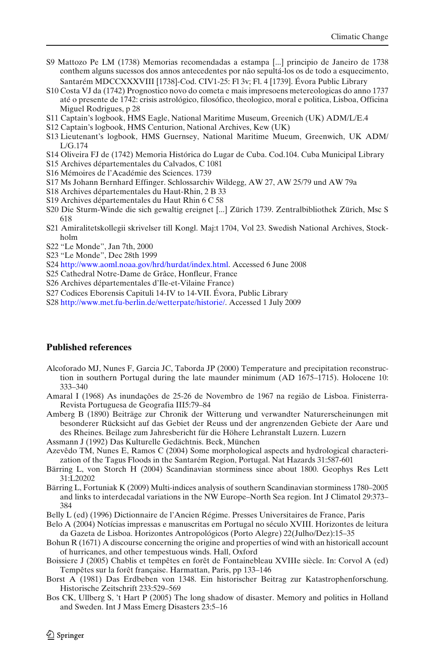- <span id="page-25-0"></span>S9 Mattozo Pe LM (1738) Memorias recomendadas a estampa [...] principio de Janeiro de 1738 conthem alguns sucessos dos annos antecedentes por não sepultá-los os de todo a esquecimento, Santarém MDCCXXXVIII [1738]-Cod. CIV1-25: Fl 3v; Fl. 4 [1739]. Évora Public Library
- S10 Costa VJ da (1742) Prognostico novo do cometa e mais impresoens metereologicas do anno 1737 até o presente de 1742: crisis astrológico, filosófico, theologico, moral e politica, Lisboa, Officina Miguel Rodrigues, p 28
- S11 Captain's logbook, HMS Eagle, National Maritime Museum, Greenich (UK) ADM/L/E.4
- S12 Captain's logbook, HMS Centurion, National Archives, Kew (UK)
- S13 Lieutenant's logbook, HMS Guernsey, National Maritime Mueum, Greenwich, UK ADM/ L/G.174
- S14 Oliveira FJ de (1742) Memoria Histórica do Lugar de Cuba. Cod.104. Cuba Municipal Library
- S15 Archives départementales du Calvados, C 1081
- S16 Mémoires de l'Académie des Sciences. 1739
- S17 Ms Johann Bernhard Effinger. Schlossarchiv Wildegg, AW 27, AW 25/79 und AW 79a
- S18 Archives départementales du Haut-Rhin, 2 B 33
- S19 Archives départementales du Haut Rhin 6 C 58
- S20 Die Sturm-Winde die sich gewaltig ereignet [...] Zürich 1739. Zentralbibliothek Zürich, Msc S 618
- S21 Amiralitetskollegii skrivelser till Kongl. Maj:t 1704, Vol 23. Swedish National Archives, Stockholm
- S22 "Le Monde", Jan 7th, 2000
- S23 "Le Monde", Dec 28th 1999
- S24 [http://www.aoml.noaa.gov/hrd/hurdat/index.html.](http://www.aoml.noaa.gov/hrd/hurdat/index.html) Accessed 6 June 2008
- S25 Cathedral Notre-Dame de Grâce, Honfleur, France
- S26 Archives départementales d'Ile-et-Vilaine France)
- S27 Codices Eborensis Capituli 14-IV to 14-VII. Évora, Public Library
- S28 [http://www.met.fu-berlin.de/wetterpate/historie/.](http://www.met.fu-berlin.de/wetterpate/historie/) Accessed 1 July 2009

#### **Published references**

- Alcoforado MJ, Nunes F, Garcia JC, Taborda JP (2000) Temperature and precipitation reconstruction in southern Portugal during the late maunder minimum (AD 1675–1715). Holocene 10: 333–340
- Amaral I (1968) As inundações de 25-26 de Novembro de 1967 na região de Lisboa. Finisterra-Revista Portuguesa de Geografia III5:79–84
- Amberg B (1890) Beiträge zur Chronik der Witterung und verwandter Naturerscheinungen mit besonderer Rücksicht auf das Gebiet der Reuss und der angrenzenden Gebiete der Aare und des Rheines. Beilage zum Jahresbericht für die Höhere Lehranstalt Luzern. Luzern
- Assmann J (1992) Das Kulturelle Gedächtnis. Beck, München
- Azevêdo TM, Nunes E, Ramos C (2004) Some morphological aspects and hydrological characterization of the Tagus Floods in the Santarém Region, Portugal. Nat Hazards 31:587-601
- Bärring L, von Storch H (2004) Scandinavian storminess since about 1800. Geophys Res Lett 31:L20202
- Bärring L, Fortuniak K (2009) Multi-indices analysis of southern Scandinavian storminess 1780–2005 and links to interdecadal variations in the NW Europe–North Sea region. Int J Climatol 29:373– 384
- Belly L (ed) (1996) Dictionnaire de l'Ancien Régime. Presses Universitaires de France, Paris
- Belo A (2004) Notícias impressas e manuscritas em Portugal no século XVIII. Horizontes de leitura da Gazeta de Lisboa. Horizontes Antropológicos (Porto Alegre) 22(Julho/Dez):15–35
- Bohun R (1671) A discourse concerning the origine and properties of wind with an historicall account of hurricanes, and other tempestuous winds. Hall, Oxford
- Boissiere J (2005) Chablis et tempêtes en forêt de Fontainebleau XVIIIe siècle. In: Corvol A (ed) Tempêtes sur la forêt française. Harmattan, Paris, pp 133–146
- Borst A (1981) Das Erdbeben von 1348. Ein historischer Beitrag zur Katastrophenforschung. Historische Zeitschrift 233:529–569
- Bos CK, Ullberg S, 't Hart P (2005) The long shadow of disaster. Memory and politics in Holland and Sweden. Int J Mass Emerg Disasters 23:5–16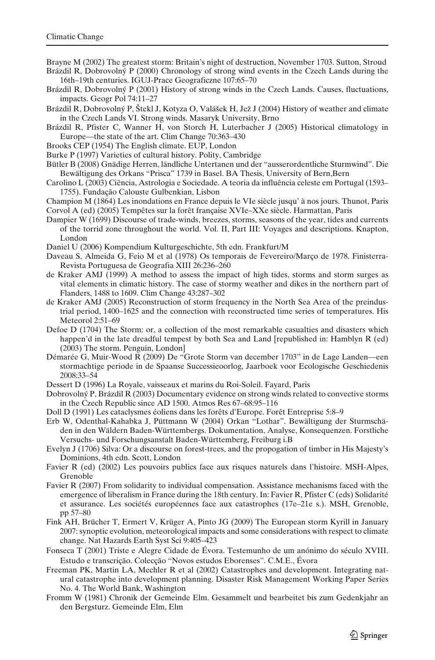<span id="page-26-0"></span>Brayne M (2002) The greatest storm: Britain's night of destruction, November 1703. Sutton, Stroud

Brázdil R, Dobrovolný P (2000) Chronology of strong wind events in the Czech Lands during the 16th–19th centuries. IGUJ-Prace Geograficzne 107:65–70

- Brázdil R, Dobrovolný P (2001) History of strong winds in the Czech Lands. Causes, fluctuations, impacts. Geogr Pol 74:11–27
- Brázdil R, Dobrovolný P, Štekl J, Kotyza O, Valášek H, Jež J (2004) History of weather and climate in the Czech Lands VI. Strong winds. Masaryk University, Brno
- Brázdil R, Pfister C, Wanner H, von Storch H, Luterbacher J (2005) Historical climatology in Europe—the state of the art. Clim Change 70:363–430
- Brooks CEP (1954) The English climate. EUP, London
- Burke P (1997) Varieties of cultural history. Polity, Cambridge
- Bütler B (2008) Gnädige Herren, ländliche Untertanen und der "ausserordentliche Sturmwind". Die Bewältigung des Orkans "Prisca" 1739 in Basel. BA Thesis, University of Bern,Bern
- Carolino L (2003) Ciência, Astrologia e Sociedade. A teoria da influência celeste em Portugal (1593– 1755). Fundação Calouste Gulbenkian, Lisbon
- Champion M (1864) Les inondations en France depuis le VIe siècle jusqu' à nos jours. Thunot, Paris Corvol A (ed) (2005) Tempêtes sur la forêt française XVIe–XXe siècle. Harmattan, Paris
- Dampier W (1699) Discourse of trade-winds, breezes, storms, seasons of the year, tides and currents of the torrid zone throughout the world. Vol. II, Part III: Voyages and descriptions. Knapton, London
- Daniel U (2006) Kompendium Kulturgeschichte, 5th edn. Frankfurt/M
- Daveau S, Almeida G, Feio M et al (1978) Os temporais de Fevereiro/Março de 1978. Finisterra-Revista Portuguesa de Geografia XIII 26:236–260
- de Kraker AMJ (1999) A method to assess the impact of high tides, storms and storm surges as vital elements in climatic history. The case of stormy weather and dikes in the northern part of Flanders, 1488 to 1609. Clim Change 43:287–302
- de Kraker AMJ (2005) Reconstruction of storm frequency in the North Sea Area of the preindustrial period, 1400–1625 and the connection with reconstructed time series of temperatures. His Meteorol 2:51–69
- Defoe D (1704) The Storm: or, a collection of the most remarkable casualties and disasters which happen'd in the late dreadful tempest by both Sea and Land [republished in: Hamblyn R (ed) (2003) The storm. Penguin, London]
- Démarée G, Muir-Wood R (2009) De "Grote Storm van december 1703" in de Lage Landen—een stormachtige periode in de Spaanse Successieoorlog, Jaarboek voor Ecologische Geschiedenis 2008:33–54
- Dessert D (1996) La Royale, vaisseaux et marins du Roi-Soleil. Fayard, Paris
- Dobrovolný P, Brázdil R (2003) Documentary evidence on strong winds related to convective storms in the Czech Republic since AD 1500. Atmos Res 67–68:95–116
- Doll D (1991) Les cataclysmes éoliens dans les forêts d'Europe. Forêt Entreprise 5:8–9
- Erb W, Odenthal-Kahabka J, Püttmann W (2004) Orkan "Lothar". Bewältigung der Sturmschäden in den Wäldern Baden-Württembergs. Dokumentation, Analyse, Konsequenzen. Forstliche Versuchs- und Forschungsanstalt Baden-Württemberg, Freiburg i.B
- Evelyn J (1706) Silva: Or a discourse on forest-trees, and the propogation of timber in His Majesty's Dominions, 4th edn. Scott, London
- Favier R (ed) (2002) Les pouvoirs publics face aux risques naturels dans l'histoire. MSH-Alpes, Grenoble
- Favier R (2007) From solidarity to individual compensation. Assistance mechanisms faced with the emergence of liberalism in France during the 18th century. In: Favier R, Pfister C (eds) Solidarité et assurance. Les sociétés européennes face aux catastrophes (17e–21e s.). MSH, Grenoble, pp 57–80
- Fink AH, Brücher T, Ermert V, Krüger A, Pinto JG (2009) The European storm Kyrill in January 2007: synoptic evolution, meteorological impacts and some considerations with respect to climate change. Nat Hazards Earth Syst Sci 9:405–423
- Fonseca T (2001) Triste e Alegre Cidade de Évora. Testemunho de um anónimo do século XVIII. Estudo e transcrição. Colecção "Novos estudos Eborenses". C.M.E., Évora
- Freeman PK, Martin LA, Mechler R et al (2002) Catastrophes and development. Integrating natural catastrophe into development planning. Disaster Risk Management Working Paper Series No. 4. The World Bank, Washington
- Fromm W (1981) Chronik der Gemeinde Elm. Gesammelt und bearbeitet bis zum Gedenkjahr an den Bergsturz. Gemeinde Elm, Elm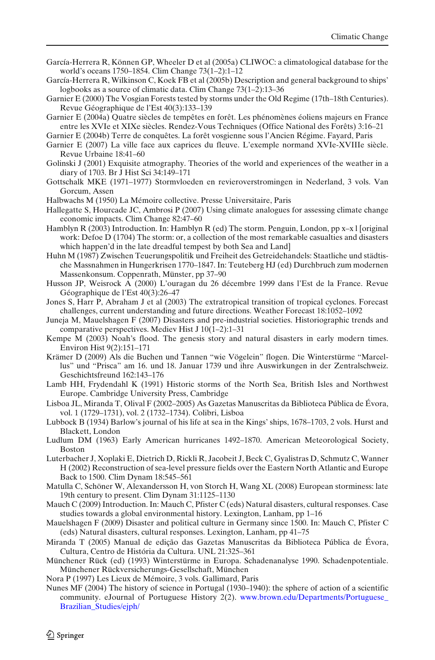- <span id="page-27-0"></span>García-Herrera R, Können GP, Wheeler D et al (2005a) CLIWOC: a climatological database for the world's oceans 1750–1854. Clim Change 73(1–2):1–12
- García-Herrera R, Wilkinson C, Koek FB et al (2005b) Description and general background to ships' logbooks as a source of climatic data. Clim Change 73(1–2):13–36
- Garnier E (2000) The Vosgian Forests tested by storms under the Old Regime (17th–18th Centuries). Revue Géographique de l'Est 40(3):133–139
- Garnier E (2004a) Quatre siècles de tempêtes en forêt. Les phénomènes éoliens majeurs en France entre les XVIe et XIXe siècles. Rendez-Vous Techniques (Office National des Forêts) 3:16–21

Garnier E (2004b) Terre de conquêtes. La forêt vosgienne sous l'Ancien Régime. Fayard, Paris

- Garnier E (2007) La ville face aux caprices du fleuve. L'exemple normand XVIe-XVIIIe siècle. Revue Urbaine 18:41–60
- Golinski J (2001) Exquisite atmography. Theories of the world and experiences of the weather in a diary of 1703. Br J Hist Sci 34:149–171
- Gottschalk MKE (1971–1977) Stormvloeden en revieroverstromingen in Nederland, 3 vols. Van Gorcum, Assen
- Halbwachs M (1950) La Mémoire collective. Presse Universitaire, Paris
- Hallegatte S, Hourcade JC, Ambrosi P (2007) Using climate analogues for assessing climate change economic impacts. Clim Change 82:47–60
- Hamblyn R (2003) Introduction. In: Hamblyn R (ed) The storm. Penguin, London, pp x–x l [original work: Defoe D (1704) The storm: or, a collection of the most remarkable casualties and disasters which happen'd in the late dreadful tempest by both Sea and Land]
- Huhn M (1987) Zwischen Teuerungspolitik und Freiheit des Getreidehandels: Staatliche und städtische Massnahmen in Hungerkrisen 1770–1847. In: Teuteberg HJ (ed) Durchbruch zum modernen Massenkonsum. Coppenrath, Münster, pp 37–90

Husson JP, Weisrock A (2000) L'ouragan du 26 décembre 1999 dans l'Est de la France. Revue Géographique de l'Est 40(3):26–47

- Jones S, Harr P, Abraham J et al (2003) The extratropical transition of tropical cyclones. Forecast challenges, current understanding and future directions. Weather Forecast 18:1052–1092
- Juneja M, Mauelshagen F (2007) Disasters and pre-industrial societies. Historiographic trends and comparative perspectives. Mediev Hist J 10(1–2):1–31
- Kempe M (2003) Noah's flood. The genesis story and natural disasters in early modern times. Environ Hist 9(2):151–171
- Krämer D (2009) Als die Buchen und Tannen "wie Vögelein" flogen. Die Winterstürme "Marcellus" und "Prisca" am 16. und 18. Januar 1739 und ihre Auswirkungen in der Zentralschweiz. Geschichtsfreund 162:143–176
- Lamb HH, Frydendahl K (1991) Historic storms of the North Sea, British Isles and Northwest Europe. Cambridge University Press, Cambridge
- Lisboa JL, Miranda T, Olival F (2002–2005) As Gazetas Manuscritas da Biblioteca Pública de Évora, vol. 1 (1729–1731), vol. 2 (1732–1734). Colibri, Lisboa
- Lubbock B (1934) Barlow's journal of his life at sea in the Kings' ships, 1678–1703, 2 vols. Hurst and Blackett, London
- Ludlum DM (1963) Early American hurricanes 1492–1870. American Meteorological Society, Boston
- Luterbacher J, Xoplaki E, Dietrich D, Rickli R, Jacobeit J, Beck C, Gyalistras D, Schmutz C, Wanner H (2002) Reconstruction of sea-level pressure fields over the Eastern North Atlantic and Europe Back to 1500. Clim Dynam 18:545–561
- Matulla C, Schöner W, Alexandersson H, von Storch H, Wang XL (2008) European storminess: late 19th century to present. Clim Dynam 31:1125–1130
- Mauch C (2009) Introduction. In: Mauch C, Pfister C (eds) Natural disasters, cultural responses. Case studies towards a global environmental history. Lexington, Lanham, pp 1–16
- Mauelshagen F (2009) Disaster and political culture in Germany since 1500. In: Mauch C, Pfister C (eds) Natural disasters, cultural responses. Lexington, Lanham, pp 41–75
- Miranda T (2005) Manual de edição das Gazetas Manuscritas da Biblioteca Pública de Évora, Cultura, Centro de História da Cultura. UNL 21:325–361
- Münchener Rück (ed) (1993) Winterstürme in Europa. Schadenanalyse 1990. Schadenpotentiale. Münchener Rückversicherungs-Gesellschaft, München
- Nora P (1997) Les Lieux de Mémoire, 3 vols. Gallimard, Paris
- Nunes MF (2004) The history of science in Portugal (1930–1940): the sphere of action of a scientific community. eJournal of Portuguese History 2(2). [www.brown.edu/Departments/Portuguese\\_](http://www.brown.edu/Departments/Portuguese_Brazilian_Studies/ejph/) [Brazilian\\_Studies/ejph/](http://www.brown.edu/Departments/Portuguese_Brazilian_Studies/ejph/)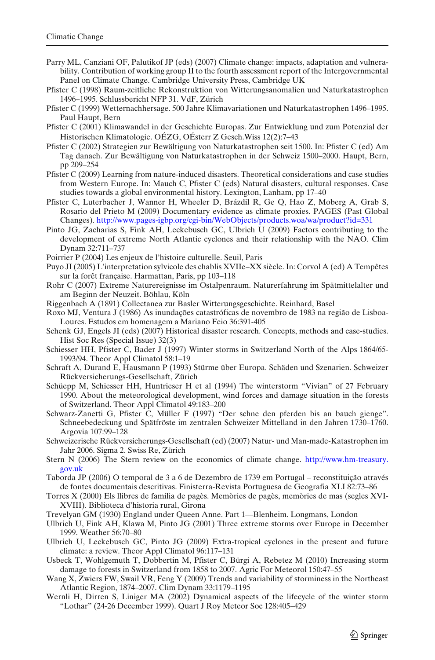- <span id="page-28-0"></span>Parry ML, Canziani OF, Palutikof JP (eds) (2007) Climate change: impacts, adaptation and vulnerability. Contribution of working group II to the fourth assessment report of the Intergovernmental Panel on Climate Change. Cambridge University Press, Cambridge UK
- Pfister C (1998) Raum-zeitliche Rekonstruktion von Witterungsanomalien und Naturkatastrophen 1496–1995. Schlussbericht NFP 31. VdF, Zürich
- Pfister C (1999) Wetternachhersage. 500 Jahre Klimavariationen und Naturkatastrophen 1496–1995. Paul Haupt, Bern
- Pfister C (2001) Klimawandel in der Geschichte Europas. Zur Entwicklung und zum Potenzial der Historischen Klimatologie. OÉZG, OÉsterr Z Gesch.Wiss 12(2):7–43
- Pfister C (2002) Strategien zur Bewältigung von Naturkatastrophen seit 1500. In: Pfister C (ed) Am Tag danach. Zur Bewältigung von Naturkatastrophen in der Schweiz 1500–2000. Haupt, Bern, pp 209–254
- Pfister C (2009) Learning from nature-induced disasters. Theoretical considerations and case studies from Western Europe. In: Mauch C, Pfister C (eds) Natural disasters, cultural responses. Case studies towards a global environmental history. Lexington, Lanham, pp 17–40
- Pfister C, Luterbacher J, Wanner H, Wheeler D, Brázdil R, Ge Q, Hao Z, Moberg A, Grab S, Rosario del Prieto M (2009) Documentary evidence as climate proxies. PAGES (Past Global Changes). <http://www.pages-igbp.org/cgi-bin/WebObjects/products.woa/wa/product?id=331>
- Pinto JG, Zacharias S, Fink AH, Leckebusch GC, Ulbrich U (2009) Factors contributing to the development of extreme North Atlantic cyclones and their relationship with the NAO. Clim Dynam 32:711–737
- Poirrier P (2004) Les enjeux de l'histoire culturelle. Seuil, Paris
- Puyo JI (2005) L'interpretation sylvicole des chablis XVIIe–XX siècle. In: Corvol A (ed) A Tempêtes sur la forêt française. Harmattan, Paris, pp 103–118
- Rohr C (2007) Extreme Naturereignisse im Ostalpenraum. Naturerfahrung im Spätmittelalter und am Beginn der Neuzeit. Böhlau, Köln
- Riggenbach A (1891) Collectanea zur Basler Witterungsgeschichte. Reinhard, Basel
- Roxo MJ, Ventura J (1986) As inundações catastróficas de novembro de 1983 na região de Lisboa-Loures. Estudos em homenagem a Mariano Feio 36:391-405
- Schenk GJ, Engels JI (eds) (2007) Historical disaster research. Concepts, methods and case-studies. Hist Soc Res (Special Issue) 32(3)
- Schiesser HH, Pfister C, Bader J (1997) Winter storms in Switzerland North of the Alps 1864/65- 1993/94. Theor Appl Climatol 58:1–19
- Schraft A, Durand E, Hausmann P (1993) Stürme über Europa. Schäden und Szenarien. Schweizer Rückversicherungs-Gesellschaft, Zürich
- Schüepp M, Schiesser HH, Huntrieser H et al (1994) The winterstorm "Vivian" of 27 February 1990. About the meteorological development, wind forces and damage situation in the forests of Switzerland. Theor Appl Climatol 49:183–200
- Schwarz-Zanetti G, Pfister C, Müller F (1997) "Der schne den pferden bis an bauch gienge". Schneebedeckung und Spätfröste im zentralen Schweizer Mittelland in den Jahren 1730–1760. Argovia 107:99–128
- Schweizerische Rückversicherungs-Gesellschaft (ed) (2007) Natur- und Man-made-Katastrophen im Jahr 2006. Sigma 2. Swiss Re, Zürich
- Stern N (2006) The Stern review on the economics of climate change. [http://www.hm-treasury.](http://www.hm-treasury.gov.uk) [gov.uk](http://www.hm-treasury.gov.uk)
- Taborda JP (2006) O temporal de 3 a 6 de Dezembro de 1739 em Portugal reconstituição através de fontes documentais descritivas. Finisterra-Revista Portuguesa de Geografia XLI 82:73–86
- Torres X (2000) Els llibres de familia de pagès. Memòries de pagès, memòries de mas (segles XVI-XVIII). Biblioteca d'historia rural, Girona
- Trevelyan GM (1930) England under Queen Anne. Part 1—Blenheim. Longmans, London
- Ulbrich U, Fink AH, Klawa M, Pinto JG (2001) Three extreme storms over Europe in December 1999. Weather 56:70–80
- Ulbrich U, Leckebusch GC, Pinto JG (2009) Extra-tropical cyclones in the present and future climate: a review. Theor Appl Climatol 96:117–131
- Usbeck T, Wohlgemuth T, Dobbertin M, Pfister C, Bürgi A, Rebetez M (2010) Increasing storm damage to forests in Switzerland from 1858 to 2007. Agric For Meteorol 150:47–55
- Wang X, Zwiers FW, Swail VR, Feng Y (2009) Trends and variability of storminess in the Northeast Atlantic Region, 1874–2007. Clim Dynam 33:1179–1195
- Wernli H, Dirren S, Liniger MA (2002) Dynamical aspects of the lifecycle of the winter storm "Lothar" (24-26 December 1999). Quart J Roy Meteor Soc 128:405–429